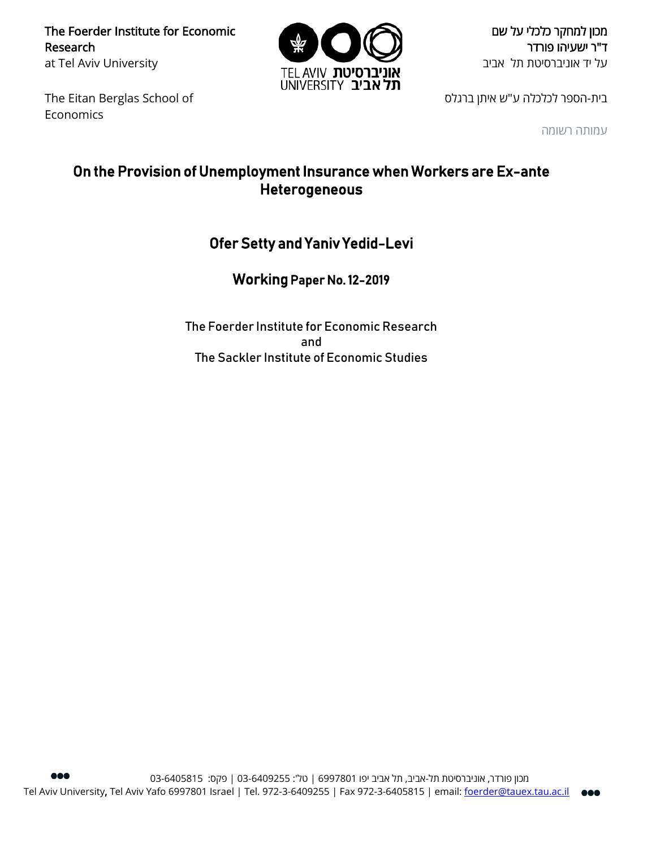The Foerder Institute for Economic Research at Tel Aviv University



מכון למחקר כלכלי על שם ד"ר ישעיהו פורדר על יד אוניברסיטת תל אביב

The Eitan Berglas School of Economics

בית-הספר לכלכלה ע"ש איתן ברגלס

עמותה רשומה

## On the Provision of Unemployment Insurance when Workers are Ex-ante Heterogeneous

## Ofer Setty and Yaniv Yedid-Levi

Working Paper No. 12-2019

The Foerder Institute for Economic Research and The Sackler Institute of Economic Studies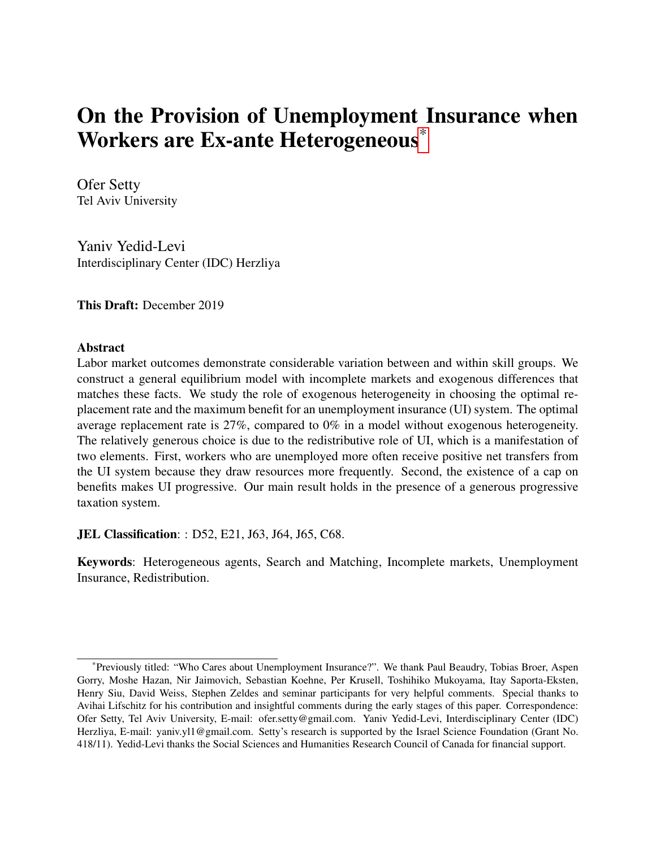# <span id="page-1-0"></span>On the Provision of Unemployment Insurance when Workers are Ex-ante Heterogeneous\*

Ofer Setty Tel Aviv University

Yaniv Yedid-Levi Interdisciplinary Center (IDC) Herzliya

This Draft: December 2019

### Abstract

Labor market outcomes demonstrate considerable variation between and within skill groups. We construct a general equilibrium model with incomplete markets and exogenous differences that matches these facts. We study the role of exogenous heterogeneity in choosing the optimal replacement rate and the maximum benefit for an unemployment insurance (UI) system. The optimal average replacement rate is 27%, compared to 0% in a model without exogenous heterogeneity. The relatively generous choice is due to the redistributive role of UI, which is a manifestation of two elements. First, workers who are unemployed more often receive positive net transfers from the UI system because they draw resources more frequently. Second, the existence of a cap on benefits makes UI progressive. Our main result holds in the presence of a generous progressive taxation system.

**JEL Classification:** : D52, E21, J63, J64, J65, C68.

Keywords: Heterogeneous agents, Search and Matching, Incomplete markets, Unemployment Insurance, Redistribution.

<sup>\*</sup>Previously titled: "Who Cares about Unemployment Insurance?". We thank Paul Beaudry, Tobias Broer, Aspen Gorry, Moshe Hazan, Nir Jaimovich, Sebastian Koehne, Per Krusell, Toshihiko Mukoyama, Itay Saporta-Eksten, Henry Siu, David Weiss, Stephen Zeldes and seminar participants for very helpful comments. Special thanks to Avihai Lifschitz for his contribution and insightful comments during the early stages of this paper. Correspondence: Ofer Setty, Tel Aviv University, E-mail: ofer.setty@gmail.com. Yaniv Yedid-Levi, Interdisciplinary Center (IDC) Herzliya, E-mail: yaniv.yl1@gmail.com. Setty's research is supported by the Israel Science Foundation (Grant No. 418/11). Yedid-Levi thanks the Social Sciences and Humanities Research Council of Canada for financial support.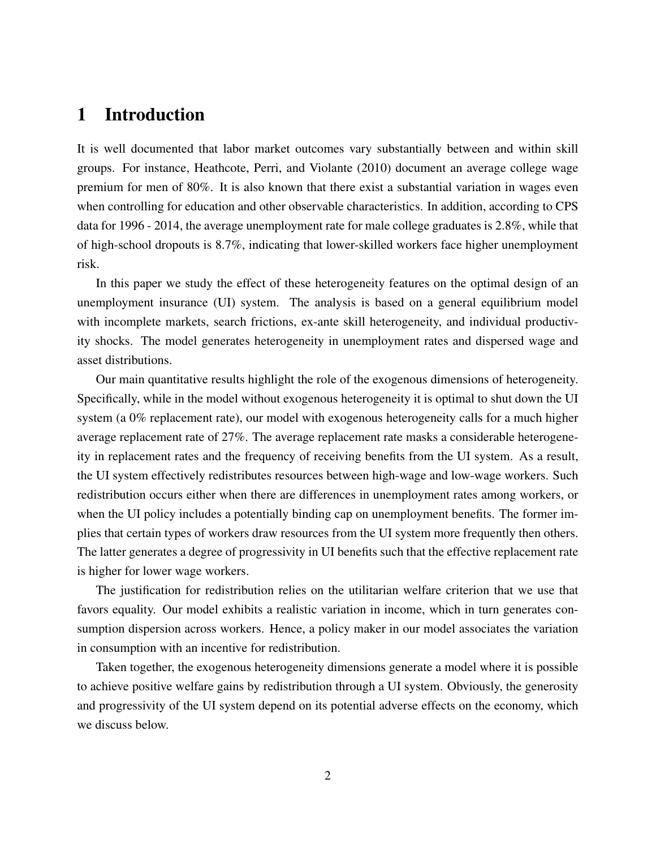## 1 Introduction

It is well documented that labor market outcomes vary substantially between and within skill groups. For instance, Heathcote, Perri, and Violante (2010) document an average college wage premium for men of 80%. It is also known that there exist a substantial variation in wages even when controlling for education and other observable characteristics. In addition, according to CPS data for 1996 - 2014, the average unemployment rate for male college graduates is 2.8%, while that of high-school dropouts is 8.7%, indicating that lower-skilled workers face higher unemployment risk.

In this paper we study the effect of these heterogeneity features on the optimal design of an unemployment insurance (UI) system. The analysis is based on a general equilibrium model with incomplete markets, search frictions, ex-ante skill heterogeneity, and individual productivity shocks. The model generates heterogeneity in unemployment rates and dispersed wage and asset distributions.

Our main quantitative results highlight the role of the exogenous dimensions of heterogeneity. Specifically, while in the model without exogenous heterogeneity it is optimal to shut down the UI system (a 0% replacement rate), our model with exogenous heterogeneity calls for a much higher average replacement rate of 27%. The average replacement rate masks a considerable heterogeneity in replacement rates and the frequency of receiving benefits from the UI system. As a result, the UI system effectively redistributes resources between high-wage and low-wage workers. Such redistribution occurs either when there are differences in unemployment rates among workers, or when the UI policy includes a potentially binding cap on unemployment benefits. The former implies that certain types of workers draw resources from the UI system more frequently then others. The latter generates a degree of progressivity in UI benefits such that the effective replacement rate is higher for lower wage workers.

The justification for redistribution relies on the utilitarian welfare criterion that we use that favors equality. Our model exhibits a realistic variation in income, which in turn generates consumption dispersion across workers. Hence, a policy maker in our model associates the variation in consumption with an incentive for redistribution.

Taken together, the exogenous heterogeneity dimensions generate a model where it is possible to achieve positive welfare gains by redistribution through a UI system. Obviously, the generosity and progressivity of the UI system depend on its potential adverse effects on the economy, which we discuss below.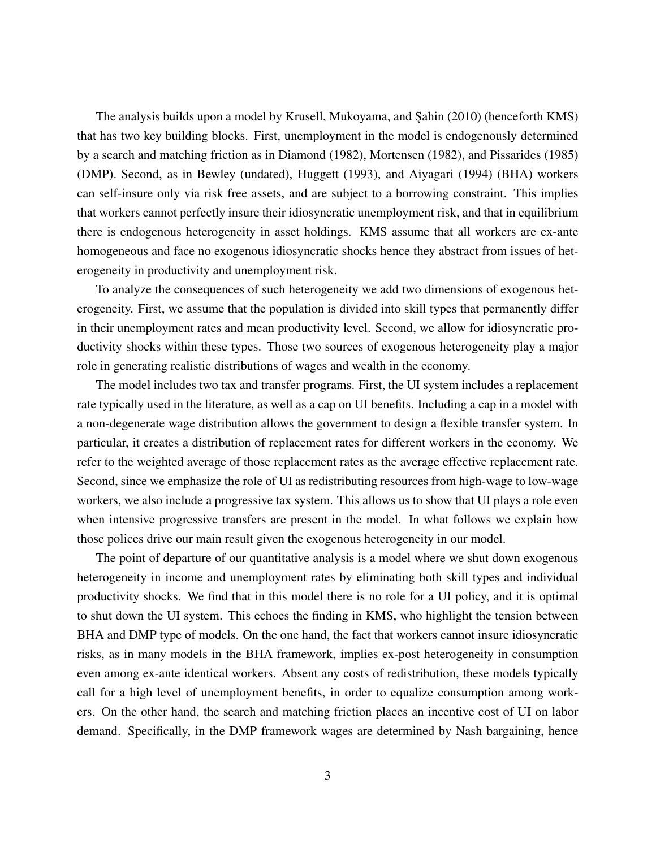The analysis builds upon a model by Krusell, Mukoyama, and Şahin (2010) (henceforth KMS) that has two key building blocks. First, unemployment in the model is endogenously determined by a search and matching friction as in Diamond (1982), Mortensen (1982), and Pissarides (1985) (DMP). Second, as in Bewley (undated), Huggett (1993), and Aiyagari (1994) (BHA) workers can self-insure only via risk free assets, and are subject to a borrowing constraint. This implies that workers cannot perfectly insure their idiosyncratic unemployment risk, and that in equilibrium there is endogenous heterogeneity in asset holdings. KMS assume that all workers are ex-ante homogeneous and face no exogenous idiosyncratic shocks hence they abstract from issues of heterogeneity in productivity and unemployment risk.

To analyze the consequences of such heterogeneity we add two dimensions of exogenous heterogeneity. First, we assume that the population is divided into skill types that permanently differ in their unemployment rates and mean productivity level. Second, we allow for idiosyncratic productivity shocks within these types. Those two sources of exogenous heterogeneity play a major role in generating realistic distributions of wages and wealth in the economy.

The model includes two tax and transfer programs. First, the UI system includes a replacement rate typically used in the literature, as well as a cap on UI benefits. Including a cap in a model with a non-degenerate wage distribution allows the government to design a flexible transfer system. In particular, it creates a distribution of replacement rates for different workers in the economy. We refer to the weighted average of those replacement rates as the average effective replacement rate. Second, since we emphasize the role of UI as redistributing resources from high-wage to low-wage workers, we also include a progressive tax system. This allows us to show that UI plays a role even when intensive progressive transfers are present in the model. In what follows we explain how those polices drive our main result given the exogenous heterogeneity in our model.

The point of departure of our quantitative analysis is a model where we shut down exogenous heterogeneity in income and unemployment rates by eliminating both skill types and individual productivity shocks. We find that in this model there is no role for a UI policy, and it is optimal to shut down the UI system. This echoes the finding in KMS, who highlight the tension between BHA and DMP type of models. On the one hand, the fact that workers cannot insure idiosyncratic risks, as in many models in the BHA framework, implies ex-post heterogeneity in consumption even among ex-ante identical workers. Absent any costs of redistribution, these models typically call for a high level of unemployment benefits, in order to equalize consumption among workers. On the other hand, the search and matching friction places an incentive cost of UI on labor demand. Specifically, in the DMP framework wages are determined by Nash bargaining, hence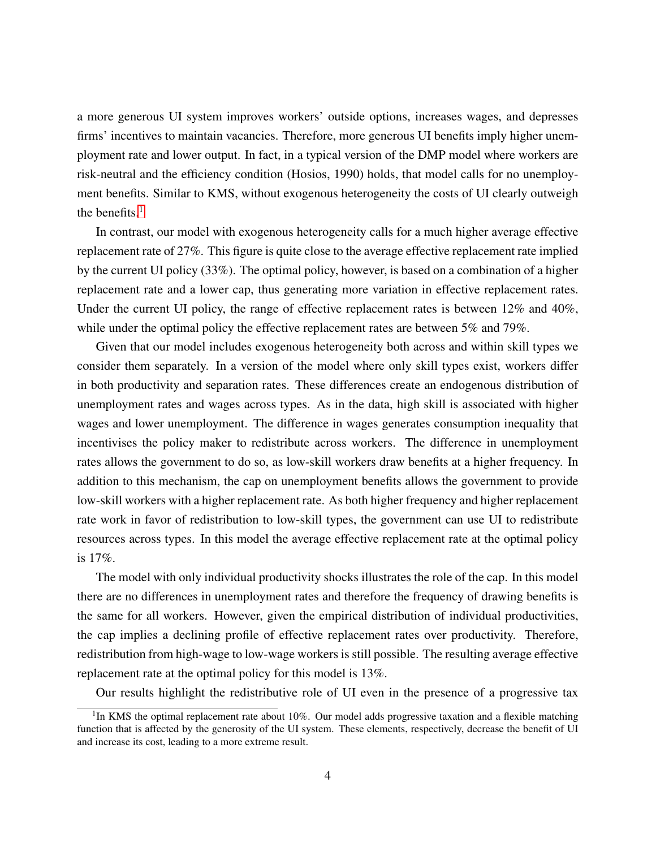a more generous UI system improves workers' outside options, increases wages, and depresses firms' incentives to maintain vacancies. Therefore, more generous UI benefits imply higher unemployment rate and lower output. In fact, in a typical version of the DMP model where workers are risk-neutral and the efficiency condition (Hosios, 1990) holds, that model calls for no unemployment benefits. Similar to KMS, without exogenous heterogeneity the costs of UI clearly outweigh the benefits. $<sup>1</sup>$  $<sup>1</sup>$  $<sup>1</sup>$ </sup>

In contrast, our model with exogenous heterogeneity calls for a much higher average effective replacement rate of 27%. This figure is quite close to the average effective replacement rate implied by the current UI policy (33%). The optimal policy, however, is based on a combination of a higher replacement rate and a lower cap, thus generating more variation in effective replacement rates. Under the current UI policy, the range of effective replacement rates is between 12% and 40%, while under the optimal policy the effective replacement rates are between 5% and 79%.

Given that our model includes exogenous heterogeneity both across and within skill types we consider them separately. In a version of the model where only skill types exist, workers differ in both productivity and separation rates. These differences create an endogenous distribution of unemployment rates and wages across types. As in the data, high skill is associated with higher wages and lower unemployment. The difference in wages generates consumption inequality that incentivises the policy maker to redistribute across workers. The difference in unemployment rates allows the government to do so, as low-skill workers draw benefits at a higher frequency. In addition to this mechanism, the cap on unemployment benefits allows the government to provide low-skill workers with a higher replacement rate. As both higher frequency and higher replacement rate work in favor of redistribution to low-skill types, the government can use UI to redistribute resources across types. In this model the average effective replacement rate at the optimal policy is 17%.

The model with only individual productivity shocks illustrates the role of the cap. In this model there are no differences in unemployment rates and therefore the frequency of drawing benefits is the same for all workers. However, given the empirical distribution of individual productivities, the cap implies a declining profile of effective replacement rates over productivity. Therefore, redistribution from high-wage to low-wage workers is still possible. The resulting average effective replacement rate at the optimal policy for this model is 13%.

Our results highlight the redistributive role of UI even in the presence of a progressive tax

<sup>&</sup>lt;sup>1</sup>In KMS the optimal replacement rate about 10%. Our model adds progressive taxation and a flexible matching function that is affected by the generosity of the UI system. These elements, respectively, decrease the benefit of UI and increase its cost, leading to a more extreme result.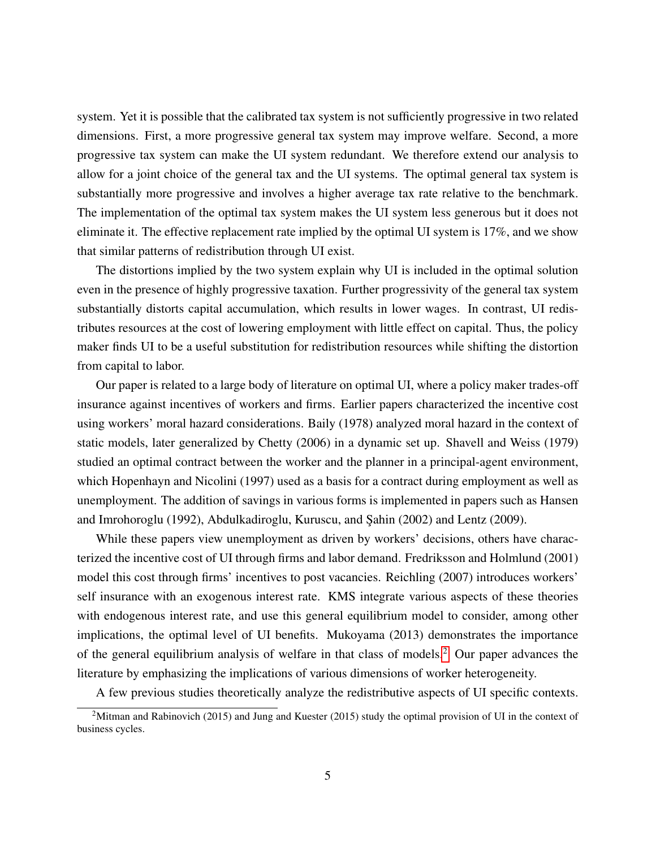system. Yet it is possible that the calibrated tax system is not sufficiently progressive in two related dimensions. First, a more progressive general tax system may improve welfare. Second, a more progressive tax system can make the UI system redundant. We therefore extend our analysis to allow for a joint choice of the general tax and the UI systems. The optimal general tax system is substantially more progressive and involves a higher average tax rate relative to the benchmark. The implementation of the optimal tax system makes the UI system less generous but it does not eliminate it. The effective replacement rate implied by the optimal UI system is 17%, and we show that similar patterns of redistribution through UI exist.

The distortions implied by the two system explain why UI is included in the optimal solution even in the presence of highly progressive taxation. Further progressivity of the general tax system substantially distorts capital accumulation, which results in lower wages. In contrast, UI redistributes resources at the cost of lowering employment with little effect on capital. Thus, the policy maker finds UI to be a useful substitution for redistribution resources while shifting the distortion from capital to labor.

Our paper is related to a large body of literature on optimal UI, where a policy maker trades-off insurance against incentives of workers and firms. Earlier papers characterized the incentive cost using workers' moral hazard considerations. Baily (1978) analyzed moral hazard in the context of static models, later generalized by Chetty (2006) in a dynamic set up. Shavell and Weiss (1979) studied an optimal contract between the worker and the planner in a principal-agent environment, which Hopenhayn and Nicolini (1997) used as a basis for a contract during employment as well as unemployment. The addition of savings in various forms is implemented in papers such as Hansen and Imrohoroglu (1992), Abdulkadiroglu, Kuruscu, and Şahin (2002) and Lentz (2009).

While these papers view unemployment as driven by workers' decisions, others have characterized the incentive cost of UI through firms and labor demand. Fredriksson and Holmlund (2001) model this cost through firms' incentives to post vacancies. Reichling (2007) introduces workers' self insurance with an exogenous interest rate. KMS integrate various aspects of these theories with endogenous interest rate, and use this general equilibrium model to consider, among other implications, the optimal level of UI benefits. Mukoyama (2013) demonstrates the importance of the general equilibrium analysis of welfare in that class of models.[2](#page-1-0) Our paper advances the literature by emphasizing the implications of various dimensions of worker heterogeneity.

A few previous studies theoretically analyze the redistributive aspects of UI specific contexts.

<sup>&</sup>lt;sup>2</sup>Mitman and Rabinovich (2015) and Jung and Kuester (2015) study the optimal provision of UI in the context of business cycles.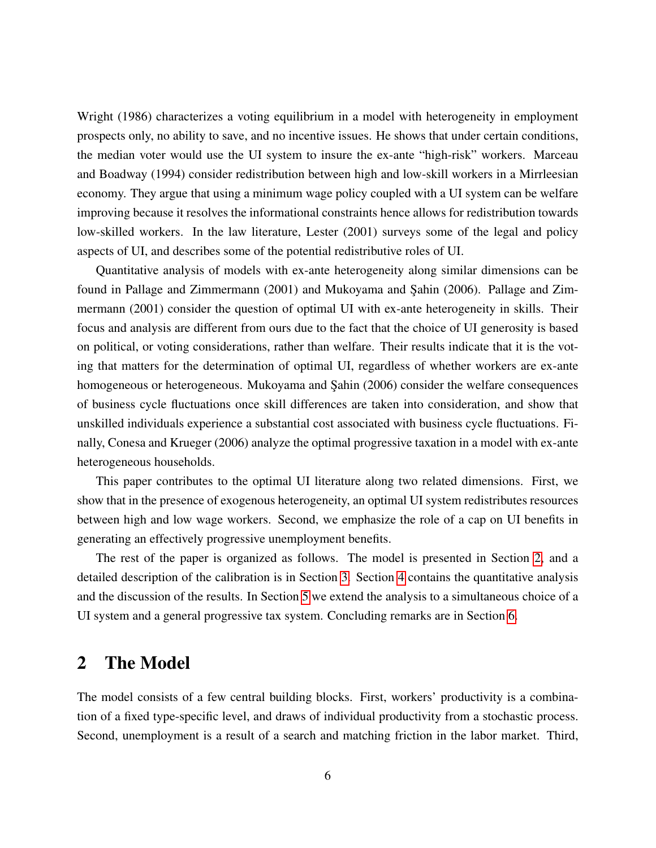Wright (1986) characterizes a voting equilibrium in a model with heterogeneity in employment prospects only, no ability to save, and no incentive issues. He shows that under certain conditions, the median voter would use the UI system to insure the ex-ante "high-risk" workers. Marceau and Boadway (1994) consider redistribution between high and low-skill workers in a Mirrleesian economy. They argue that using a minimum wage policy coupled with a UI system can be welfare improving because it resolves the informational constraints hence allows for redistribution towards low-skilled workers. In the law literature, Lester (2001) surveys some of the legal and policy aspects of UI, and describes some of the potential redistributive roles of UI.

Quantitative analysis of models with ex-ante heterogeneity along similar dimensions can be found in Pallage and Zimmermann (2001) and Mukoyama and Sahin (2006). Pallage and Zimmermann (2001) consider the question of optimal UI with ex-ante heterogeneity in skills. Their focus and analysis are different from ours due to the fact that the choice of UI generosity is based on political, or voting considerations, rather than welfare. Their results indicate that it is the voting that matters for the determination of optimal UI, regardless of whether workers are ex-ante homogeneous or heterogeneous. Mukoyama and Şahin (2006) consider the welfare consequences of business cycle fluctuations once skill differences are taken into consideration, and show that unskilled individuals experience a substantial cost associated with business cycle fluctuations. Finally, Conesa and Krueger (2006) analyze the optimal progressive taxation in a model with ex-ante heterogeneous households.

This paper contributes to the optimal UI literature along two related dimensions. First, we show that in the presence of exogenous heterogeneity, an optimal UI system redistributes resources between high and low wage workers. Second, we emphasize the role of a cap on UI benefits in generating an effectively progressive unemployment benefits.

The rest of the paper is organized as follows. The model is presented in Section [2,](#page-6-0) and a detailed description of the calibration is in Section [3.](#page-12-0) Section [4](#page-18-0) contains the quantitative analysis and the discussion of the results. In Section [5](#page-33-0) we extend the analysis to a simultaneous choice of a UI system and a general progressive tax system. Concluding remarks are in Section [6.](#page-37-0)

## <span id="page-6-0"></span>2 The Model

The model consists of a few central building blocks. First, workers' productivity is a combination of a fixed type-specific level, and draws of individual productivity from a stochastic process. Second, unemployment is a result of a search and matching friction in the labor market. Third,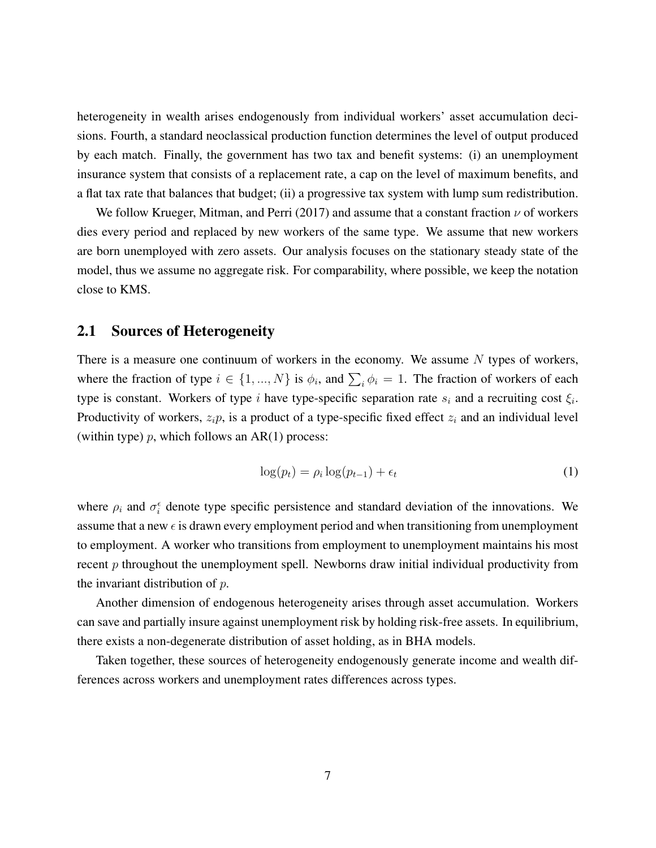heterogeneity in wealth arises endogenously from individual workers' asset accumulation decisions. Fourth, a standard neoclassical production function determines the level of output produced by each match. Finally, the government has two tax and benefit systems: (i) an unemployment insurance system that consists of a replacement rate, a cap on the level of maximum benefits, and a flat tax rate that balances that budget; (ii) a progressive tax system with lump sum redistribution.

We follow Krueger, Mitman, and Perri (2017) and assume that a constant fraction  $\nu$  of workers dies every period and replaced by new workers of the same type. We assume that new workers are born unemployed with zero assets. Our analysis focuses on the stationary steady state of the model, thus we assume no aggregate risk. For comparability, where possible, we keep the notation close to KMS.

#### 2.1 Sources of Heterogeneity

There is a measure one continuum of workers in the economy. We assume  $N$  types of workers, where the fraction of type  $i \in \{1, ..., N\}$  is  $\phi_i$ , and  $\sum_i \phi_i = 1$ . The fraction of workers of each type is constant. Workers of type i have type-specific separation rate  $s_i$  and a recruiting cost  $\xi_i$ . Productivity of workers,  $z_i p$ , is a product of a type-specific fixed effect  $z_i$  and an individual level (within type)  $p$ , which follows an AR(1) process:

<span id="page-7-0"></span>
$$
\log(p_t) = \rho_i \log(p_{t-1}) + \epsilon_t \tag{1}
$$

where  $\rho_i$  and  $\sigma_i^{\epsilon}$  denote type specific persistence and standard deviation of the innovations. We assume that a new  $\epsilon$  is drawn every employment period and when transitioning from unemployment to employment. A worker who transitions from employment to unemployment maintains his most recent  $p$  throughout the unemployment spell. Newborns draw initial individual productivity from the invariant distribution of p.

Another dimension of endogenous heterogeneity arises through asset accumulation. Workers can save and partially insure against unemployment risk by holding risk-free assets. In equilibrium, there exists a non-degenerate distribution of asset holding, as in BHA models.

Taken together, these sources of heterogeneity endogenously generate income and wealth differences across workers and unemployment rates differences across types.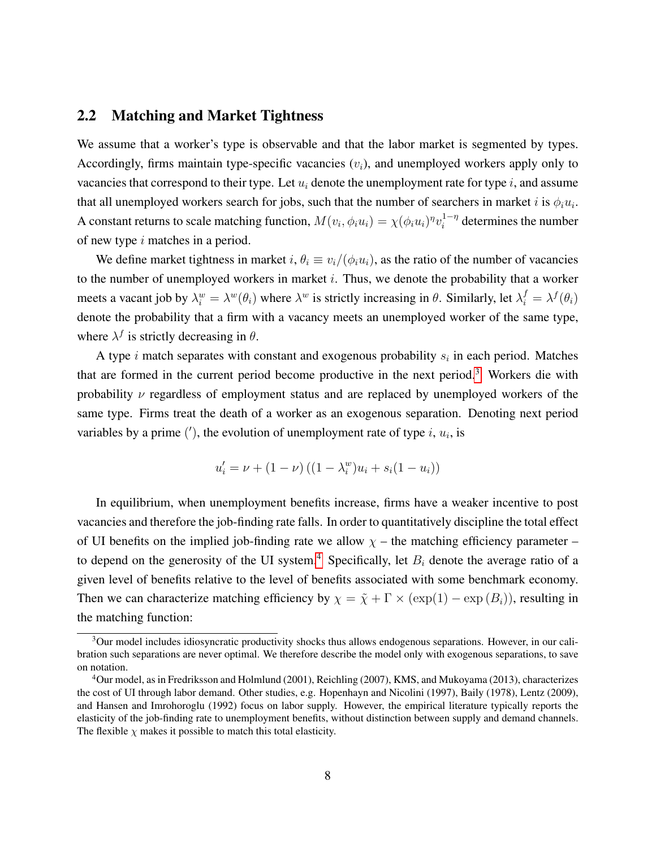#### 2.2 Matching and Market Tightness

We assume that a worker's type is observable and that the labor market is segmented by types. Accordingly, firms maintain type-specific vacancies  $(v<sub>i</sub>)$ , and unemployed workers apply only to vacancies that correspond to their type. Let  $u_i$  denote the unemployment rate for type i, and assume that all unemployed workers search for jobs, such that the number of searchers in market i is  $\phi_i u_i$ . A constant returns to scale matching function,  $M(v_i, \phi_i u_i) = \chi(\phi_i u_i)^{\eta} v_i^{1-\eta}$  $i^{-\eta}$  determines the number of new type  $i$  matches in a period.

We define market tightness in market i,  $\theta_i \equiv v_i/(\phi_i u_i)$ , as the ratio of the number of vacancies to the number of unemployed workers in market  $i$ . Thus, we denote the probability that a worker meets a vacant job by  $\lambda_i^w = \lambda^w(\theta_i)$  where  $\lambda^w$  is strictly increasing in  $\theta$ . Similarly, let  $\lambda_i^f = \lambda^f(\theta_i)$ denote the probability that a firm with a vacancy meets an unemployed worker of the same type, where  $\lambda^f$  is strictly decreasing in  $\theta$ .

A type i match separates with constant and exogenous probability  $s_i$  in each period. Matches that are formed in the current period become productive in the next period.[3](#page-1-0) Workers die with probability  $\nu$  regardless of employment status and are replaced by unemployed workers of the same type. Firms treat the death of a worker as an exogenous separation. Denoting next period variables by a prime  $(')$ , the evolution of unemployment rate of type  $i, u_i$ , is

$$
u'_{i} = \nu + (1 - \nu) ((1 - \lambda_{i}^{w})u_{i} + s_{i}(1 - u_{i}))
$$

In equilibrium, when unemployment benefits increase, firms have a weaker incentive to post vacancies and therefore the job-finding rate falls. In order to quantitatively discipline the total effect of UI benefits on the implied job-finding rate we allow  $\chi$  – the matching efficiency parameter – to depend on the generosity of the UI system.<sup>[4](#page-1-0)</sup> Specifically, let  $B_i$  denote the average ratio of a given level of benefits relative to the level of benefits associated with some benchmark economy. Then we can characterize matching efficiency by  $\chi = \tilde{\chi} + \Gamma \times (\exp(1) - \exp(B_i))$ , resulting in the matching function:

 $3$ Our model includes idiosyncratic productivity shocks thus allows endogenous separations. However, in our calibration such separations are never optimal. We therefore describe the model only with exogenous separations, to save on notation.

<sup>4</sup>Our model, as in Fredriksson and Holmlund (2001), Reichling (2007), KMS, and Mukoyama (2013), characterizes the cost of UI through labor demand. Other studies, e.g. Hopenhayn and Nicolini (1997), Baily (1978), Lentz (2009), and Hansen and Imrohoroglu (1992) focus on labor supply. However, the empirical literature typically reports the elasticity of the job-finding rate to unemployment benefits, without distinction between supply and demand channels. The flexible  $\chi$  makes it possible to match this total elasticity.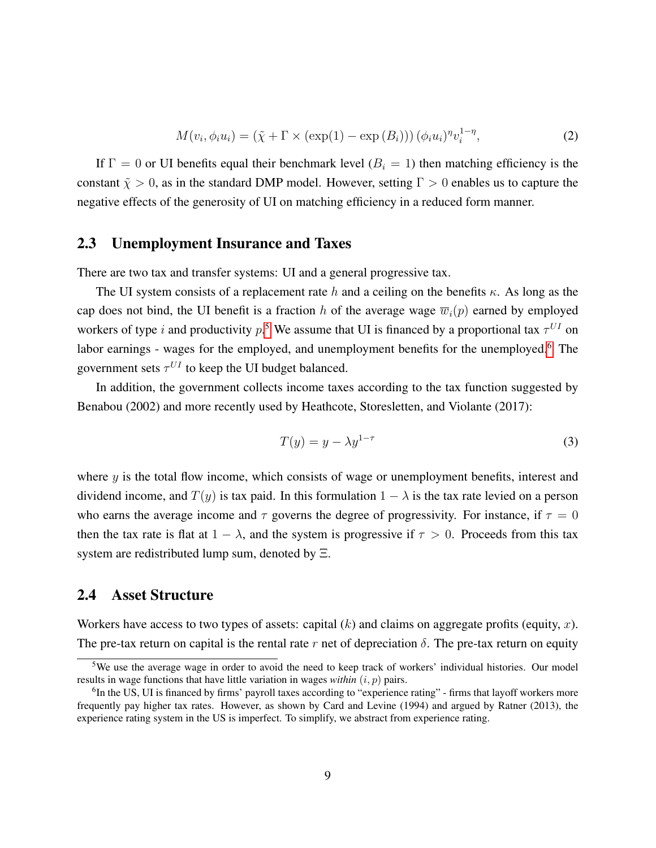<span id="page-9-0"></span>
$$
M(v_i, \phi_i u_i) = (\tilde{\chi} + \Gamma \times (\exp(1) - \exp(B_i))) (\phi_i u_i)^{\eta} v_i^{1-\eta},
$$
\n(2)

If  $\Gamma = 0$  or UI benefits equal their benchmark level  $(B<sub>i</sub> = 1)$  then matching efficiency is the constant  $\tilde{\chi} > 0$ , as in the standard DMP model. However, setting  $\Gamma > 0$  enables us to capture the negative effects of the generosity of UI on matching efficiency in a reduced form manner.

### 2.3 Unemployment Insurance and Taxes

There are two tax and transfer systems: UI and a general progressive tax.

The UI system consists of a replacement rate h and a ceiling on the benefits  $\kappa$ . As long as the cap does not bind, the UI benefit is a fraction h of the average wage  $\overline{w}_i(p)$  earned by employed workers of type i and productivity  $p$ <sup>[5](#page-1-0)</sup>. We assume that UI is financed by a proportional tax  $\tau^{UI}$  on labor earnings - wages for the employed, and unemployment benefits for the unemployed.<sup>[6](#page-1-0)</sup> The government sets  $\tau^{UI}$  to keep the UI budget balanced.

In addition, the government collects income taxes according to the tax function suggested by Benabou (2002) and more recently used by Heathcote, Storesletten, and Violante (2017):

<span id="page-9-1"></span>
$$
T(y) = y - \lambda y^{1-\tau} \tag{3}
$$

where  $y$  is the total flow income, which consists of wage or unemployment benefits, interest and dividend income, and  $T(y)$  is tax paid. In this formulation  $1 - \lambda$  is the tax rate levied on a person who earns the average income and  $\tau$  governs the degree of progressivity. For instance, if  $\tau = 0$ then the tax rate is flat at  $1 - \lambda$ , and the system is progressive if  $\tau > 0$ . Proceeds from this tax system are redistributed lump sum, denoted by Ξ.

### 2.4 Asset Structure

Workers have access to two types of assets: capital  $(k)$  and claims on aggregate profits (equity, x). The pre-tax return on capital is the rental rate r net of depreciation  $\delta$ . The pre-tax return on equity

<sup>5</sup>We use the average wage in order to avoid the need to keep track of workers' individual histories. Our model results in wage functions that have little variation in wages *within*  $(i, p)$  pairs.

<sup>&</sup>lt;sup>6</sup>In the US, UI is financed by firms' payroll taxes according to "experience rating" - firms that layoff workers more frequently pay higher tax rates. However, as shown by Card and Levine (1994) and argued by Ratner (2013), the experience rating system in the US is imperfect. To simplify, we abstract from experience rating.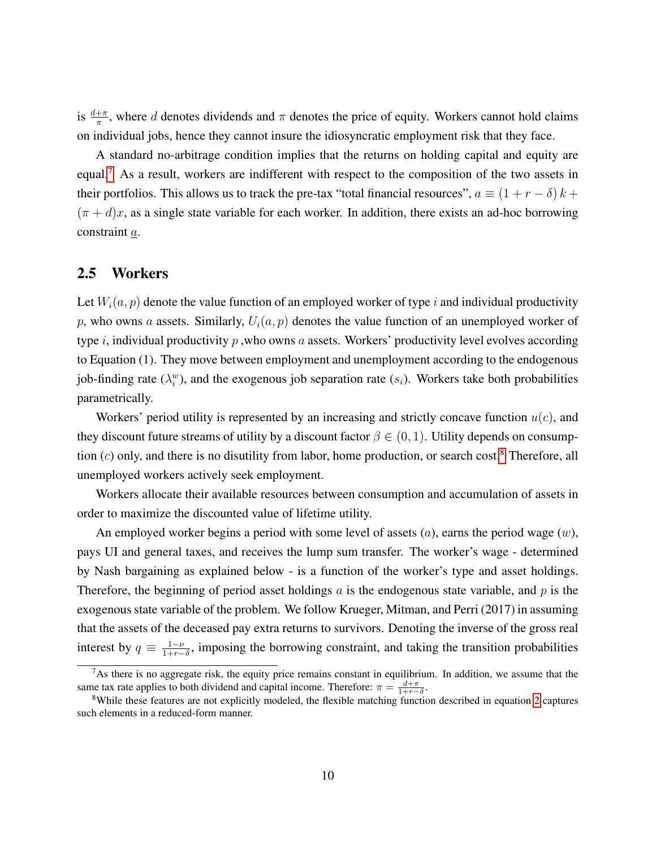is  $\frac{d+\pi}{\pi}$ , where d denotes dividends and  $\pi$  denotes the price of equity. Workers cannot hold claims on individual jobs, hence they cannot insure the idiosyncratic employment risk that they face.

A standard no-arbitrage condition implies that the returns on holding capital and equity are equal.[7](#page-1-0) As a result, workers are indifferent with respect to the composition of the two assets in their portfolios. This allows us to track the pre-tax "total financial resources",  $a \equiv (1 + r - \delta) k +$  $(\pi + d)x$ , as a single state variable for each worker. In addition, there exists an ad-hoc borrowing constraint a.

#### 2.5 Workers

Let  $W_i(a, p)$  denote the value function of an employed worker of type i and individual productivity p, who owns a assets. Similarly,  $U_i(a, p)$  denotes the value function of an unemployed worker of type i, individual productivity p, who owns a assets. Workers' productivity level evolves according to Equation (1). They move between employment and unemployment according to the endogenous job-finding rate  $(\lambda_i^w)$ , and the exogenous job separation rate  $(s_i)$ . Workers take both probabilities parametrically.

Workers' period utility is represented by an increasing and strictly concave function  $u(c)$ , and they discount future streams of utility by a discount factor  $\beta \in (0,1)$ . Utility depends on consumption  $(c)$  only, and there is no disutility from labor, home production, or search cost.<sup>[8](#page-1-0)</sup> Therefore, all unemployed workers actively seek employment.

Workers allocate their available resources between consumption and accumulation of assets in order to maximize the discounted value of lifetime utility.

An employed worker begins a period with some level of assets  $(a)$ , earns the period wage  $(w)$ , pays UI and general taxes, and receives the lump sum transfer. The worker's wage - determined by Nash bargaining as explained below - is a function of the worker's type and asset holdings. Therefore, the beginning of period asset holdings  $\alpha$  is the endogenous state variable, and  $p$  is the exogenous state variable of the problem. We follow Krueger, Mitman, and Perri (2017) in assuming that the assets of the deceased pay extra returns to survivors. Denoting the inverse of the gross real interest by  $q \equiv \frac{1-\nu}{1+r}$  $\frac{1-\nu}{1+r-\delta}$ , imposing the borrowing constraint, and taking the transition probabilities

 $7As$  there is no aggregate risk, the equity price remains constant in equilibrium. In addition, we assume that the same tax rate applies to both dividend and capital income. Therefore:  $\pi = \frac{d+\pi}{1+r-\delta}$ .

<sup>&</sup>lt;sup>8</sup>While these features are not explicitly modeled, the flexible matching function described in equation [2](#page-9-0) captures such elements in a reduced-form manner.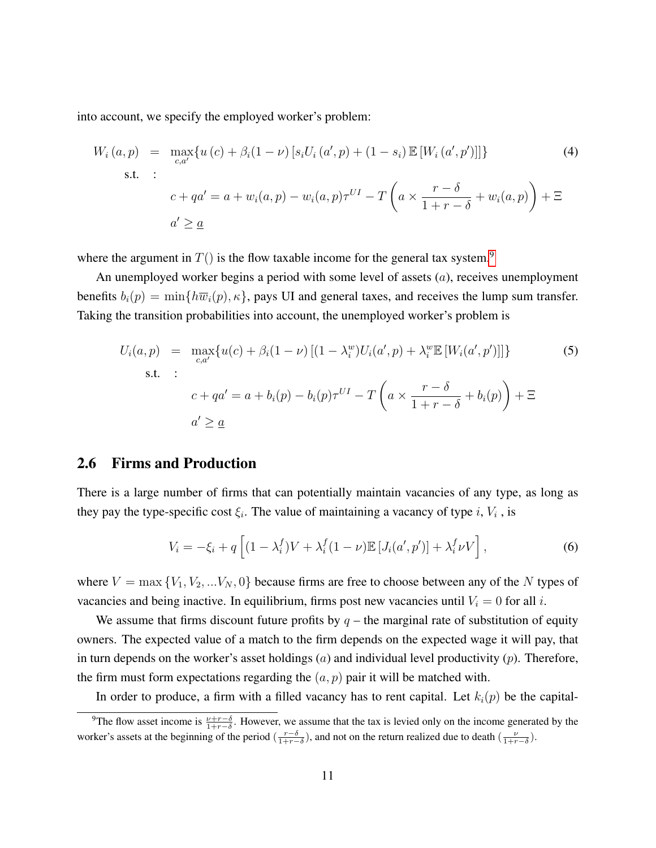into account, we specify the employed worker's problem:

$$
W_i(a, p) = \max_{c, a'} \{ u(c) + \beta_i (1 - \nu) \left[ s_i U_i(a', p) + (1 - s_i) \mathbb{E} \left[ W_i(a', p') \right] \right] \}
$$
(4)  
s.t. :  

$$
c + qa' = a + w_i(a, p) - w_i(a, p) \tau^{UI} - T \left( a \times \frac{r - \delta}{1 + r - \delta} + w_i(a, p) \right) + \Xi
$$
  

$$
a' \geq \underline{a}
$$

where the argument in  $T()$  is the flow taxable income for the general tax system.<sup>[9](#page-1-0)</sup>

An unemployed worker begins a period with some level of assets  $(a)$ , receives unemployment benefits  $b_i(p) = \min\{h\overline{w}_i(p), \kappa\}$ , pays UI and general taxes, and receives the lump sum transfer. Taking the transition probabilities into account, the unemployed worker's problem is

$$
U_i(a, p) = \max_{c, a'} \{ u(c) + \beta_i (1 - \nu) \left[ (1 - \lambda_i^w) U_i(a', p) + \lambda_i^w \mathbb{E} \left[ W_i(a', p') \right] \right] \} \tag{5}
$$
  
s.t. :  

$$
c + qa' = a + b_i(p) - b_i(p) \tau^{UI} - T \left( a \times \frac{r - \delta}{1 + r - \delta} + b_i(p) \right) + \Xi
$$
  

$$
a' \geq \underline{a}
$$

#### 2.6 Firms and Production

There is a large number of firms that can potentially maintain vacancies of any type, as long as they pay the type-specific cost  $\xi_i$ . The value of maintaining a vacancy of type i,  $V_i$ , is

$$
V_i = -\xi_i + q \left[ (1 - \lambda_i^f) V + \lambda_i^f (1 - \nu) \mathbb{E} \left[ J_i(a', p') \right] + \lambda_i^f \nu V \right],\tag{6}
$$

where  $V = \max \{V_1, V_2, \ldots V_N, 0\}$  because firms are free to choose between any of the N types of vacancies and being inactive. In equilibrium, firms post new vacancies until  $V_i = 0$  for all i.

We assume that firms discount future profits by  $q$  – the marginal rate of substitution of equity owners. The expected value of a match to the firm depends on the expected wage it will pay, that in turn depends on the worker's asset holdings  $(a)$  and individual level productivity  $(p)$ . Therefore, the firm must form expectations regarding the  $(a, p)$  pair it will be matched with.

In order to produce, a firm with a filled vacancy has to rent capital. Let  $k_i(p)$  be the capital-

<sup>&</sup>lt;sup>9</sup>The flow asset income is  $\frac{\nu+r-\delta}{1+r-\delta}$ . However, we assume that the tax is levied only on the income generated by the worker's assets at the beginning of the period  $(\frac{r-\delta}{1+r-\delta})$ , and not on the return realized due to death  $(\frac{\nu}{1+r-\delta})$ .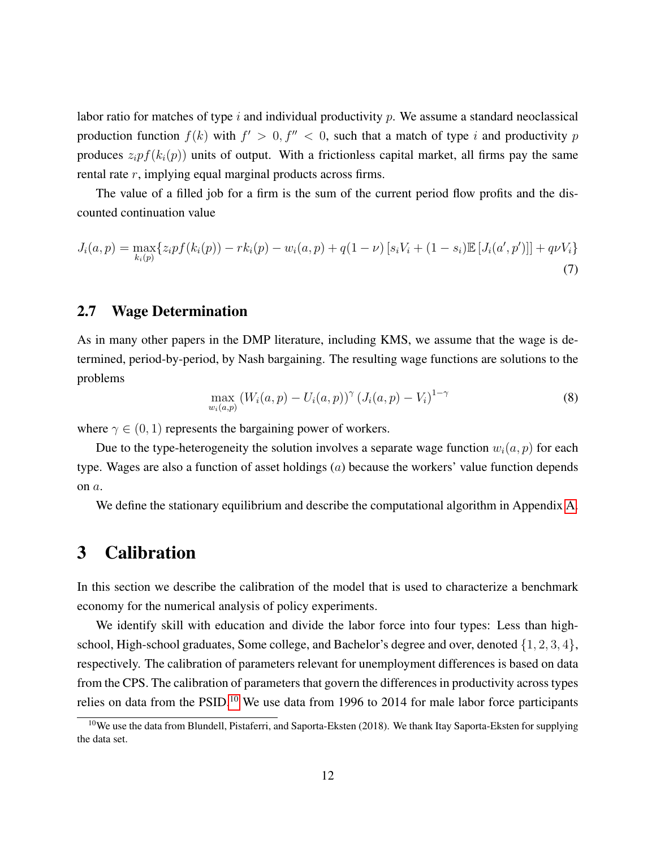labor ratio for matches of type i and individual productivity  $p$ . We assume a standard neoclassical production function  $f(k)$  with  $f' > 0, f'' < 0$ , such that a match of type i and productivity p produces  $z_i p f(k_i(p))$  units of output. With a frictionless capital market, all firms pay the same rental rate r, implying equal marginal products across firms.

The value of a filled job for a firm is the sum of the current period flow profits and the discounted continuation value

$$
J_i(a, p) = \max_{k_i(p)} \{ z_i p f(k_i(p)) - r k_i(p) - w_i(a, p) + q(1 - \nu) \left[ s_i V_i + (1 - s_i) \mathbb{E} \left[ J_i(a', p') \right] \right] + q \nu V_i \}
$$
\n(7)

### 2.7 Wage Determination

As in many other papers in the DMP literature, including KMS, we assume that the wage is determined, period-by-period, by Nash bargaining. The resulting wage functions are solutions to the problems

$$
\max_{w_i(a,p)} (W_i(a,p) - U_i(a,p))^{\gamma} (J_i(a,p) - V_i)^{1-\gamma}
$$
\n(8)

where  $\gamma \in (0, 1)$  represents the bargaining power of workers.

Due to the type-heterogeneity the solution involves a separate wage function  $w_i(a, p)$  for each type. Wages are also a function of asset holdings (a) because the workers' value function depends on a.

We define the stationary equilibrium and describe the computational algorithm in Appendix [A.](#page-43-0)

## <span id="page-12-0"></span>3 Calibration

In this section we describe the calibration of the model that is used to characterize a benchmark economy for the numerical analysis of policy experiments.

We identify skill with education and divide the labor force into four types: Less than highschool, High-school graduates, Some college, and Bachelor's degree and over, denoted  $\{1, 2, 3, 4\}$ , respectively. The calibration of parameters relevant for unemployment differences is based on data from the CPS. The calibration of parameters that govern the differences in productivity across types relies on data from the PSID.<sup>[10](#page-1-0)</sup> We use data from 1996 to 2014 for male labor force participants

<sup>&</sup>lt;sup>10</sup>We use the data from Blundell, Pistaferri, and Saporta-Eksten (2018). We thank Itay Saporta-Eksten for supplying the data set.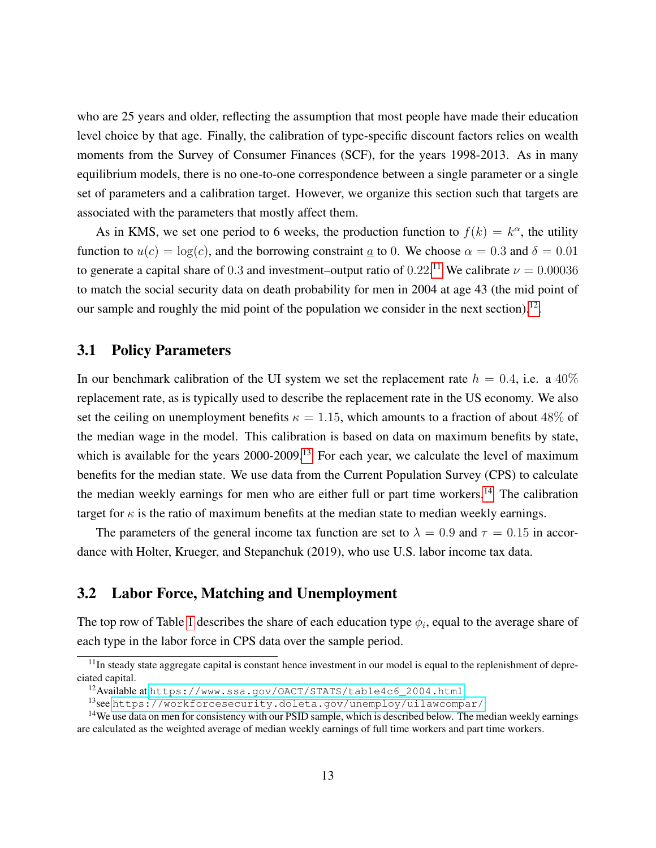who are 25 years and older, reflecting the assumption that most people have made their education level choice by that age. Finally, the calibration of type-specific discount factors relies on wealth moments from the Survey of Consumer Finances (SCF), for the years 1998-2013. As in many equilibrium models, there is no one-to-one correspondence between a single parameter or a single set of parameters and a calibration target. However, we organize this section such that targets are associated with the parameters that mostly affect them.

As in KMS, we set one period to 6 weeks, the production function to  $f(k) = k^{\alpha}$ , the utility function to  $u(c) = \log(c)$ , and the borrowing constraint a to 0. We choose  $\alpha = 0.3$  and  $\delta = 0.01$ to generate a capital share of 0.3 and investment–output ratio of 0.22.<sup>[11](#page-1-0)</sup> We calibrate  $\nu = 0.00036$ to match the social security data on death probability for men in 2004 at age 43 (the mid point of our sample and roughly the mid point of the population we consider in the next section).<sup>[12](#page-1-0)</sup>.

### 3.1 Policy Parameters

In our benchmark calibration of the UI system we set the replacement rate  $h = 0.4$ , i.e. a 40% replacement rate, as is typically used to describe the replacement rate in the US economy. We also set the ceiling on unemployment benefits  $\kappa = 1.15$ , which amounts to a fraction of about 48% of the median wage in the model. This calibration is based on data on maximum benefits by state, which is available for the years 2000-2009.<sup>[13](#page-1-0)</sup> For each year, we calculate the level of maximum benefits for the median state. We use data from the Current Population Survey (CPS) to calculate the median weekly earnings for men who are either full or part time workers.<sup>[14](#page-1-0)</sup> The calibration target for  $\kappa$  is the ratio of maximum benefits at the median state to median weekly earnings.

The parameters of the general income tax function are set to  $\lambda = 0.9$  and  $\tau = 0.15$  in accordance with Holter, Krueger, and Stepanchuk (2019), who use U.S. labor income tax data.

### 3.2 Labor Force, Matching and Unemployment

The top row of Table [1](#page-16-0) describes the share of each education type  $\phi_i$ , equal to the average share of each type in the labor force in CPS data over the sample period.

 $11$ In steady state aggregate capital is constant hence investment in our model is equal to the replenishment of depreciated capital.

<sup>12</sup>Available at [https://www.ssa.gov/OACT/STATS/table4c6\\_2004.html](https://www.ssa.gov/OACT/STATS/table4c6_2004.html)

<sup>13</sup>see <https://workforcesecurity.doleta.gov/unemploy/uilawcompar/>

 $14$ We use data on men for consistency with our PSID sample, which is described below. The median weekly earnings are calculated as the weighted average of median weekly earnings of full time workers and part time workers.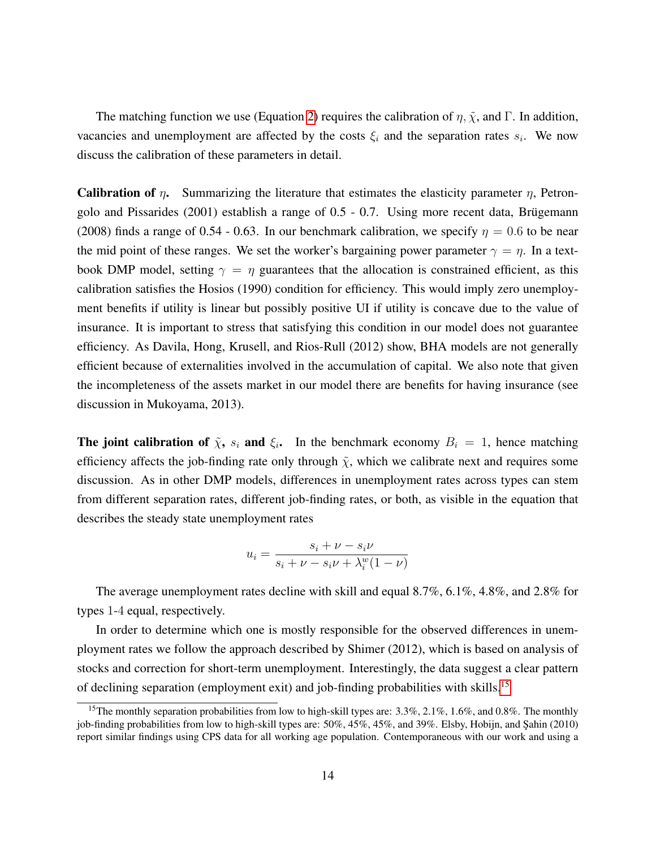The matching function we use (Equation [2\)](#page-9-0) requires the calibration of  $\eta$ ,  $\tilde{\chi}$ , and Γ. In addition, vacancies and unemployment are affected by the costs  $\xi_i$  and the separation rates  $s_i$ . We now discuss the calibration of these parameters in detail.

**Calibration of**  $\eta$ . Summarizing the literature that estimates the elasticity parameter  $\eta$ , Petrongolo and Pissarides  $(2001)$  establish a range of  $0.5 - 0.7$ . Using more recent data, Brügemann (2008) finds a range of 0.54 - 0.63. In our benchmark calibration, we specify  $\eta = 0.6$  to be near the mid point of these ranges. We set the worker's bargaining power parameter  $\gamma = \eta$ . In a textbook DMP model, setting  $\gamma = \eta$  guarantees that the allocation is constrained efficient, as this calibration satisfies the Hosios (1990) condition for efficiency. This would imply zero unemployment benefits if utility is linear but possibly positive UI if utility is concave due to the value of insurance. It is important to stress that satisfying this condition in our model does not guarantee efficiency. As Davila, Hong, Krusell, and Rios-Rull (2012) show, BHA models are not generally efficient because of externalities involved in the accumulation of capital. We also note that given the incompleteness of the assets market in our model there are benefits for having insurance (see discussion in Mukoyama, 2013).

**The joint calibration of**  $\tilde{\chi}$ ,  $s_i$  and  $\xi_i$ . In the benchmark economy  $B_i = 1$ , hence matching efficiency affects the job-finding rate only through  $\tilde{\chi}$ , which we calibrate next and requires some discussion. As in other DMP models, differences in unemployment rates across types can stem from different separation rates, different job-finding rates, or both, as visible in the equation that describes the steady state unemployment rates

$$
u_i = \frac{s_i + \nu - s_i \nu}{s_i + \nu - s_i \nu + \lambda_i^w (1 - \nu)}
$$

The average unemployment rates decline with skill and equal 8.7%, 6.1%, 4.8%, and 2.8% for types 1-4 equal, respectively.

In order to determine which one is mostly responsible for the observed differences in unemployment rates we follow the approach described by Shimer (2012), which is based on analysis of stocks and correction for short-term unemployment. Interestingly, the data suggest a clear pattern of declining separation (employment exit) and job-finding probabilities with skills.[15](#page-1-0)

<sup>&</sup>lt;sup>15</sup>The monthly separation probabilities from low to high-skill types are:  $3.3\%$ ,  $2.1\%$ ,  $1.6\%$ , and  $0.8\%$ . The monthly job-finding probabilities from low to high-skill types are: 50%, 45%, 45%, and 39%. Elsby, Hobijn, and Şahin (2010) report similar findings using CPS data for all working age population. Contemporaneous with our work and using a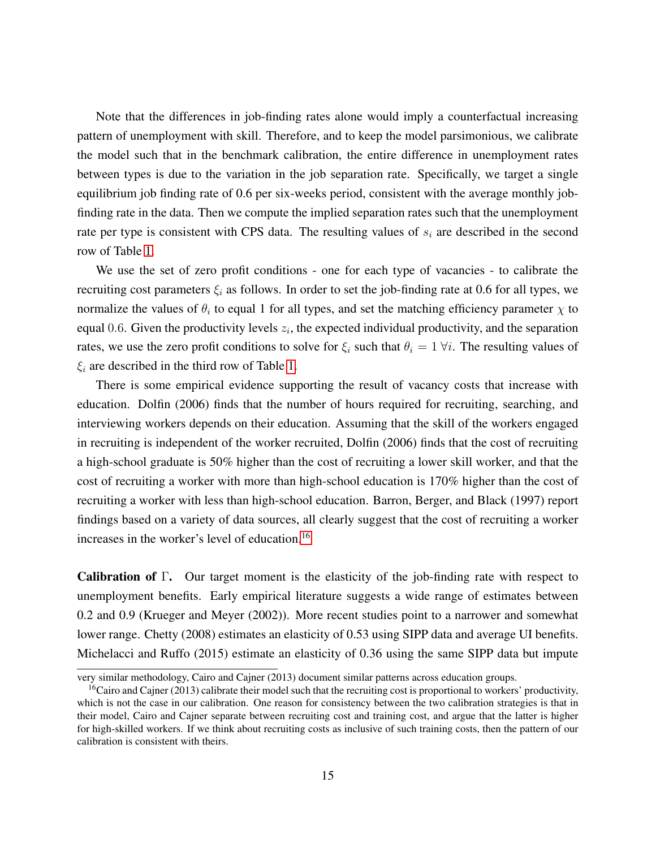Note that the differences in job-finding rates alone would imply a counterfactual increasing pattern of unemployment with skill. Therefore, and to keep the model parsimonious, we calibrate the model such that in the benchmark calibration, the entire difference in unemployment rates between types is due to the variation in the job separation rate. Specifically, we target a single equilibrium job finding rate of 0.6 per six-weeks period, consistent with the average monthly jobfinding rate in the data. Then we compute the implied separation rates such that the unemployment rate per type is consistent with CPS data. The resulting values of  $s_i$  are described in the second row of Table [1.](#page-16-0)

We use the set of zero profit conditions - one for each type of vacancies - to calibrate the recruiting cost parameters  $\xi_i$  as follows. In order to set the job-finding rate at 0.6 for all types, we normalize the values of  $\theta_i$  to equal 1 for all types, and set the matching efficiency parameter  $\chi$  to equal 0.6. Given the productivity levels  $z_i$ , the expected individual productivity, and the separation rates, we use the zero profit conditions to solve for  $\xi_i$  such that  $\theta_i = 1 \forall i$ . The resulting values of  $\xi_i$  are described in the third row of Table [1.](#page-16-0)

There is some empirical evidence supporting the result of vacancy costs that increase with education. Dolfin (2006) finds that the number of hours required for recruiting, searching, and interviewing workers depends on their education. Assuming that the skill of the workers engaged in recruiting is independent of the worker recruited, Dolfin (2006) finds that the cost of recruiting a high-school graduate is 50% higher than the cost of recruiting a lower skill worker, and that the cost of recruiting a worker with more than high-school education is 170% higher than the cost of recruiting a worker with less than high-school education. Barron, Berger, and Black (1997) report findings based on a variety of data sources, all clearly suggest that the cost of recruiting a worker increases in the worker's level of education.<sup>[16](#page-1-0)</sup>

Calibration of Γ. Our target moment is the elasticity of the job-finding rate with respect to unemployment benefits. Early empirical literature suggests a wide range of estimates between 0.2 and 0.9 (Krueger and Meyer (2002)). More recent studies point to a narrower and somewhat lower range. Chetty (2008) estimates an elasticity of 0.53 using SIPP data and average UI benefits. Michelacci and Ruffo (2015) estimate an elasticity of 0.36 using the same SIPP data but impute

very similar methodology, Cairo and Cajner (2013) document similar patterns across education groups.

 ${}^{16}$ Cairo and Cajner (2013) calibrate their model such that the recruiting cost is proportional to workers' productivity, which is not the case in our calibration. One reason for consistency between the two calibration strategies is that in their model, Cairo and Cajner separate between recruiting cost and training cost, and argue that the latter is higher for high-skilled workers. If we think about recruiting costs as inclusive of such training costs, then the pattern of our calibration is consistent with theirs.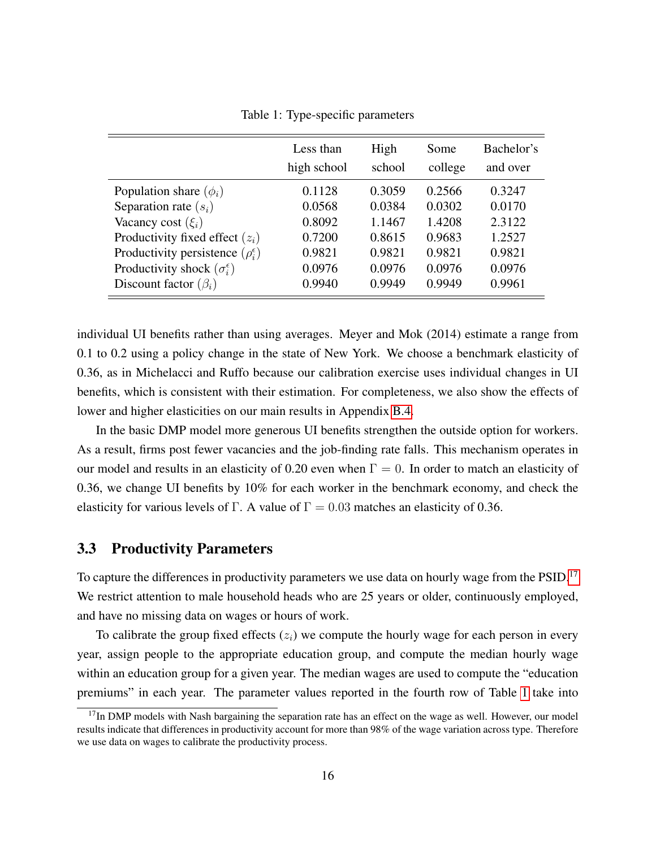|  | Table 1: Type-specific parameters |  |
|--|-----------------------------------|--|
|--|-----------------------------------|--|

<span id="page-16-0"></span>

|                                                | Less than<br>high school | High<br>school | Some<br>college | Bachelor's<br>and over |
|------------------------------------------------|--------------------------|----------------|-----------------|------------------------|
| Population share $(\phi_i)$                    | 0.1128                   | 0.3059         | 0.2566          | 0.3247                 |
| Separation rate $(s_i)$                        | 0.0568                   | 0.0384         | 0.0302          | 0.0170                 |
| Vacancy cost $(\xi_i)$                         | 0.8092                   | 1.1467         | 1.4208          | 2.3122                 |
| Productivity fixed effect $(z_i)$              | 0.7200                   | 0.8615         | 0.9683          | 1.2527                 |
| Productivity persistence $(\rho_i^{\epsilon})$ | 0.9821                   | 0.9821         | 0.9821          | 0.9821                 |
| Productivity shock $(\sigma_i^{\epsilon})$     | 0.0976                   | 0.0976         | 0.0976          | 0.0976                 |
| Discount factor $(\beta_i)$                    | 0.9940                   | 0.9949         | 0.9949          | 0.9961                 |

individual UI benefits rather than using averages. Meyer and Mok (2014) estimate a range from 0.1 to 0.2 using a policy change in the state of New York. We choose a benchmark elasticity of 0.36, as in Michelacci and Ruffo because our calibration exercise uses individual changes in UI benefits, which is consistent with their estimation. For completeness, we also show the effects of lower and higher elasticities on our main results in Appendix [B.4.](#page-50-0)

In the basic DMP model more generous UI benefits strengthen the outside option for workers. As a result, firms post fewer vacancies and the job-finding rate falls. This mechanism operates in our model and results in an elasticity of 0.20 even when  $\Gamma = 0$ . In order to match an elasticity of 0.36, we change UI benefits by 10% for each worker in the benchmark economy, and check the elasticity for various levels of Γ. A value of  $\Gamma = 0.03$  matches an elasticity of 0.36.

#### 3.3 Productivity Parameters

To capture the differences in productivity parameters we use data on hourly wage from the PSID.<sup>[17](#page-1-0)</sup> We restrict attention to male household heads who are 25 years or older, continuously employed, and have no missing data on wages or hours of work.

To calibrate the group fixed effects  $(z<sub>i</sub>)$  we compute the hourly wage for each person in every year, assign people to the appropriate education group, and compute the median hourly wage within an education group for a given year. The median wages are used to compute the "education premiums" in each year. The parameter values reported in the fourth row of Table [1](#page-16-0) take into

<sup>&</sup>lt;sup>17</sup>In DMP models with Nash bargaining the separation rate has an effect on the wage as well. However, our model results indicate that differences in productivity account for more than 98% of the wage variation across type. Therefore we use data on wages to calibrate the productivity process.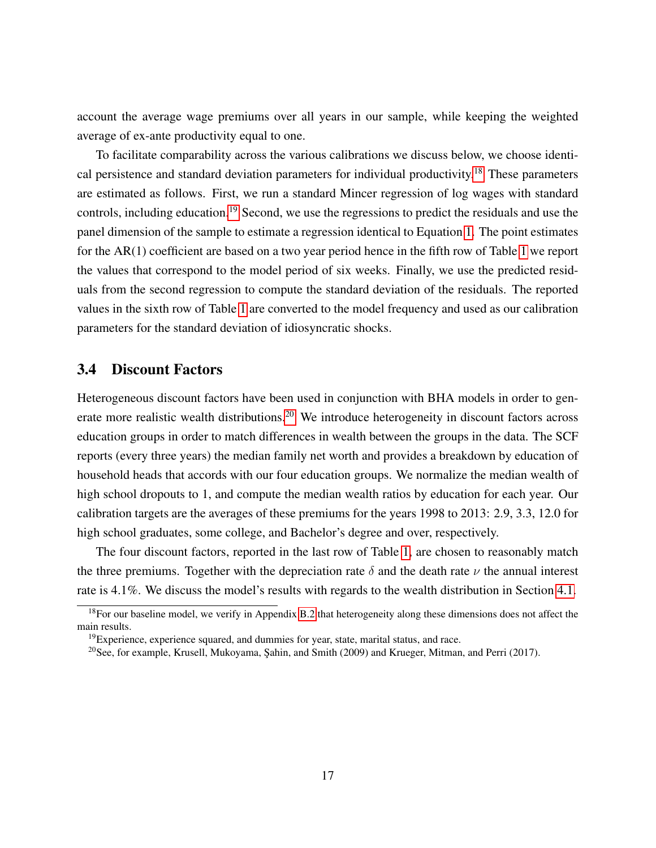account the average wage premiums over all years in our sample, while keeping the weighted average of ex-ante productivity equal to one.

To facilitate comparability across the various calibrations we discuss below, we choose identical persistence and standard deviation parameters for individual productivity.[18](#page-1-0) These parameters are estimated as follows. First, we run a standard Mincer regression of log wages with standard controls, including education.<sup>[19](#page-1-0)</sup> Second, we use the regressions to predict the residuals and use the panel dimension of the sample to estimate a regression identical to Equation [1.](#page-7-0) The point estimates for the AR(1) coefficient are based on a two year period hence in the fifth row of Table [1](#page-16-0) we report the values that correspond to the model period of six weeks. Finally, we use the predicted residuals from the second regression to compute the standard deviation of the residuals. The reported values in the sixth row of Table [1](#page-16-0) are converted to the model frequency and used as our calibration parameters for the standard deviation of idiosyncratic shocks.

#### 3.4 Discount Factors

Heterogeneous discount factors have been used in conjunction with BHA models in order to generate more realistic wealth distributions.[20](#page-1-0) We introduce heterogeneity in discount factors across education groups in order to match differences in wealth between the groups in the data. The SCF reports (every three years) the median family net worth and provides a breakdown by education of household heads that accords with our four education groups. We normalize the median wealth of high school dropouts to 1, and compute the median wealth ratios by education for each year. Our calibration targets are the averages of these premiums for the years 1998 to 2013: 2.9, 3.3, 12.0 for high school graduates, some college, and Bachelor's degree and over, respectively.

The four discount factors, reported in the last row of Table [1,](#page-16-0) are chosen to reasonably match the three premiums. Together with the depreciation rate  $\delta$  and the death rate  $\nu$  the annual interest rate is 4.1%. We discuss the model's results with regards to the wealth distribution in Section [4.1.](#page-18-1)

 $18$ For our baseline model, we verify in Appendix [B.2](#page-46-0) that heterogeneity along these dimensions does not affect the main results.

 $19$ Experience, experience squared, and dummies for year, state, marital status, and race.

<sup>&</sup>lt;sup>20</sup>See, for example, Krusell, Mukoyama, Sahin, and Smith (2009) and Krueger, Mitman, and Perri (2017).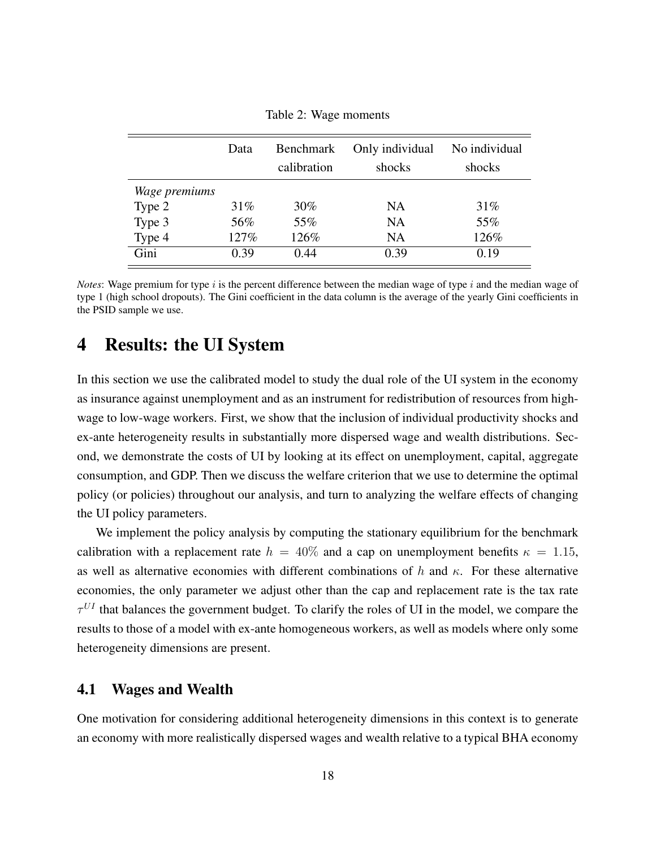<span id="page-18-2"></span>

|               | Data   | Benchmark<br>calibration | Only individual<br>shocks | No individual<br>shocks |
|---------------|--------|--------------------------|---------------------------|-------------------------|
| Wage premiums |        |                          |                           |                         |
| Type 2        | $31\%$ | 30%                      | NA                        | 31%                     |
| Type 3        | 56%    | 55%                      | NA                        | 55%                     |
| Type 4        | 127%   | 126%                     | <b>NA</b>                 | 126%                    |
| Gini          | 0.39   | 0.44                     | 0.39                      | 0.19                    |

Table 2: Wage moments

*Notes*: Wage premium for type  $i$  is the percent difference between the median wage of type  $i$  and the median wage of type 1 (high school dropouts). The Gini coefficient in the data column is the average of the yearly Gini coefficients in the PSID sample we use.

## <span id="page-18-0"></span>4 Results: the UI System

In this section we use the calibrated model to study the dual role of the UI system in the economy as insurance against unemployment and as an instrument for redistribution of resources from highwage to low-wage workers. First, we show that the inclusion of individual productivity shocks and ex-ante heterogeneity results in substantially more dispersed wage and wealth distributions. Second, we demonstrate the costs of UI by looking at its effect on unemployment, capital, aggregate consumption, and GDP. Then we discuss the welfare criterion that we use to determine the optimal policy (or policies) throughout our analysis, and turn to analyzing the welfare effects of changing the UI policy parameters.

We implement the policy analysis by computing the stationary equilibrium for the benchmark calibration with a replacement rate  $h = 40\%$  and a cap on unemployment benefits  $\kappa = 1.15$ , as well as alternative economies with different combinations of h and  $\kappa$ . For these alternative economies, the only parameter we adjust other than the cap and replacement rate is the tax rate  $\tau^{UI}$  that balances the government budget. To clarify the roles of UI in the model, we compare the results to those of a model with ex-ante homogeneous workers, as well as models where only some heterogeneity dimensions are present.

#### <span id="page-18-1"></span>4.1 Wages and Wealth

One motivation for considering additional heterogeneity dimensions in this context is to generate an economy with more realistically dispersed wages and wealth relative to a typical BHA economy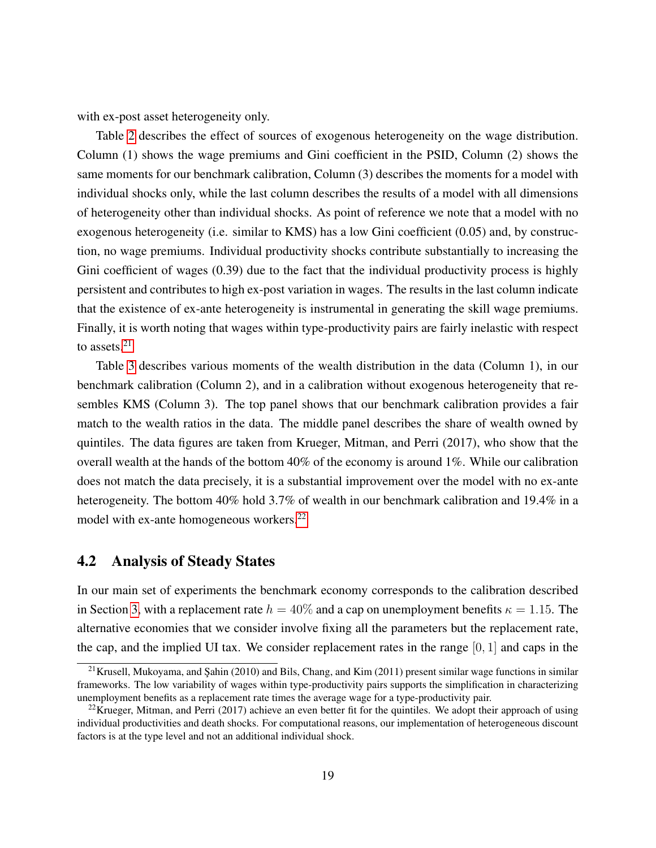with ex-post asset heterogeneity only.

Table [2](#page-18-2) describes the effect of sources of exogenous heterogeneity on the wage distribution. Column (1) shows the wage premiums and Gini coefficient in the PSID, Column (2) shows the same moments for our benchmark calibration, Column (3) describes the moments for a model with individual shocks only, while the last column describes the results of a model with all dimensions of heterogeneity other than individual shocks. As point of reference we note that a model with no exogenous heterogeneity (i.e. similar to KMS) has a low Gini coefficient (0.05) and, by construction, no wage premiums. Individual productivity shocks contribute substantially to increasing the Gini coefficient of wages  $(0.39)$  due to the fact that the individual productivity process is highly persistent and contributes to high ex-post variation in wages. The results in the last column indicate that the existence of ex-ante heterogeneity is instrumental in generating the skill wage premiums. Finally, it is worth noting that wages within type-productivity pairs are fairly inelastic with respect to assets.<sup>[21](#page-1-0)</sup>

Table [3](#page-20-0) describes various moments of the wealth distribution in the data (Column 1), in our benchmark calibration (Column 2), and in a calibration without exogenous heterogeneity that resembles KMS (Column 3). The top panel shows that our benchmark calibration provides a fair match to the wealth ratios in the data. The middle panel describes the share of wealth owned by quintiles. The data figures are taken from Krueger, Mitman, and Perri (2017), who show that the overall wealth at the hands of the bottom 40% of the economy is around 1%. While our calibration does not match the data precisely, it is a substantial improvement over the model with no ex-ante heterogeneity. The bottom 40% hold 3.7% of wealth in our benchmark calibration and 19.4% in a model with ex-ante homogeneous workers.<sup>[22](#page-1-0)</sup>

### 4.2 Analysis of Steady States

In our main set of experiments the benchmark economy corresponds to the calibration described in Section [3,](#page-12-0) with a replacement rate  $h = 40\%$  and a cap on unemployment benefits  $\kappa = 1.15$ . The alternative economies that we consider involve fixing all the parameters but the replacement rate, the cap, and the implied UI tax. We consider replacement rates in the range [0, 1] and caps in the

 $21$ Krusell, Mukoyama, and Şahin (2010) and Bils, Chang, and Kim (2011) present similar wage functions in similar frameworks. The low variability of wages within type-productivity pairs supports the simplification in characterizing unemployment benefits as a replacement rate times the average wage for a type-productivity pair.

<sup>&</sup>lt;sup>22</sup>Krueger, Mitman, and Perri (2017) achieve an even better fit for the quintiles. We adopt their approach of using individual productivities and death shocks. For computational reasons, our implementation of heterogeneous discount factors is at the type level and not an additional individual shock.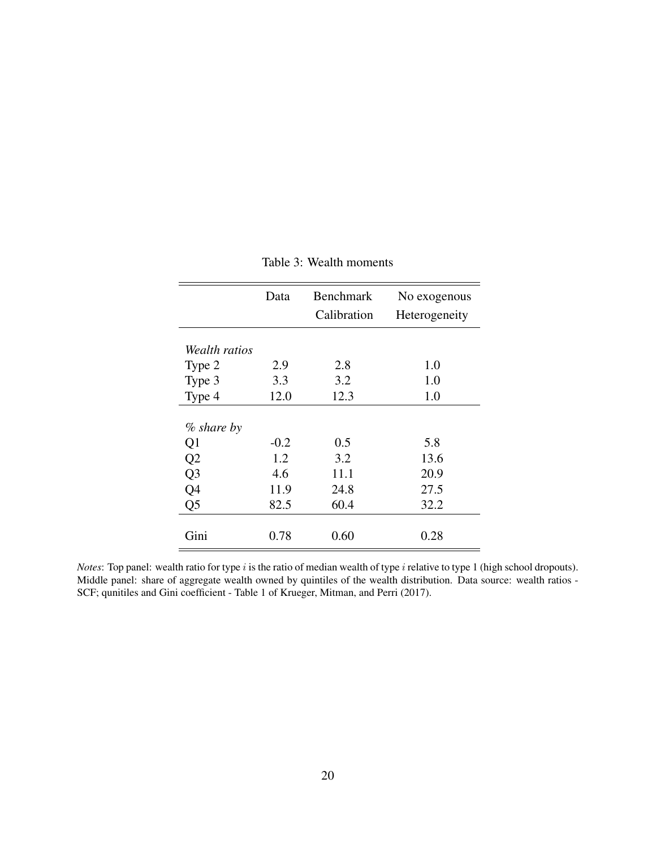<span id="page-20-0"></span>

|                | Data   | <b>Benchmark</b><br>Calibration | No exogenous<br>Heterogeneity |
|----------------|--------|---------------------------------|-------------------------------|
| Wealth ratios  |        |                                 |                               |
| Type 2         | 2.9    | 2.8                             | 1.0                           |
| Type 3         | 3.3    | 3.2                             | 1.0                           |
| Type 4         | 12.0   | 12.3                            | 1.0                           |
| $\%$ share by  |        |                                 |                               |
| Q <sub>1</sub> | $-0.2$ | 0.5                             | 5.8                           |
| Q <sub>2</sub> | 1.2    | 3.2                             | 13.6                          |
| Q <sub>3</sub> | 4.6    | 11.1                            | 20.9                          |
| Q4             | 11.9   | 24.8                            | 27.5                          |
| Q <sub>5</sub> | 82.5   | 60.4                            | 32.2                          |
| Gini           | 0.78   | 0.60                            | 0.28                          |

### Table 3: Wealth moments

*Notes*: Top panel: wealth ratio for type i is the ratio of median wealth of type i relative to type 1 (high school dropouts). Middle panel: share of aggregate wealth owned by quintiles of the wealth distribution. Data source: wealth ratios - SCF; qunitiles and Gini coefficient - Table 1 of Krueger, Mitman, and Perri (2017).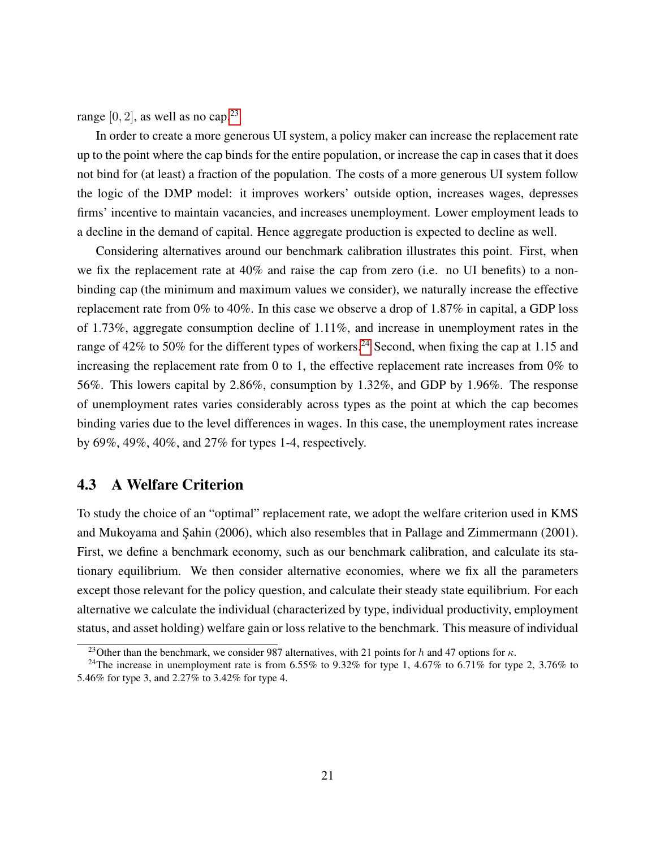range  $[0, 2]$ , as well as no cap.<sup>[23](#page-1-0)</sup>

In order to create a more generous UI system, a policy maker can increase the replacement rate up to the point where the cap binds for the entire population, or increase the cap in cases that it does not bind for (at least) a fraction of the population. The costs of a more generous UI system follow the logic of the DMP model: it improves workers' outside option, increases wages, depresses firms' incentive to maintain vacancies, and increases unemployment. Lower employment leads to a decline in the demand of capital. Hence aggregate production is expected to decline as well.

Considering alternatives around our benchmark calibration illustrates this point. First, when we fix the replacement rate at 40% and raise the cap from zero (i.e. no UI benefits) to a nonbinding cap (the minimum and maximum values we consider), we naturally increase the effective replacement rate from 0% to 40%. In this case we observe a drop of 1.87% in capital, a GDP loss of 1.73%, aggregate consumption decline of 1.11%, and increase in unemployment rates in the range of  $42\%$  to 50% for the different types of workers.<sup>[24](#page-1-0)</sup> Second, when fixing the cap at 1.15 and increasing the replacement rate from 0 to 1, the effective replacement rate increases from 0% to 56%. This lowers capital by 2.86%, consumption by 1.32%, and GDP by 1.96%. The response of unemployment rates varies considerably across types as the point at which the cap becomes binding varies due to the level differences in wages. In this case, the unemployment rates increase by 69%, 49%, 40%, and 27% for types 1-4, respectively.

### <span id="page-21-0"></span>4.3 A Welfare Criterion

To study the choice of an "optimal" replacement rate, we adopt the welfare criterion used in KMS and Mukoyama and Şahin (2006), which also resembles that in Pallage and Zimmermann (2001). First, we define a benchmark economy, such as our benchmark calibration, and calculate its stationary equilibrium. We then consider alternative economies, where we fix all the parameters except those relevant for the policy question, and calculate their steady state equilibrium. For each alternative we calculate the individual (characterized by type, individual productivity, employment status, and asset holding) welfare gain or loss relative to the benchmark. This measure of individual

<sup>&</sup>lt;sup>23</sup>Other than the benchmark, we consider 987 alternatives, with 21 points for h and 47 options for  $\kappa$ .

<sup>&</sup>lt;sup>24</sup>The increase in unemployment rate is from 6.55% to 9.32% for type 1, 4.67% to 6.71% for type 2, 3.76% to 5.46% for type 3, and 2.27% to 3.42% for type 4.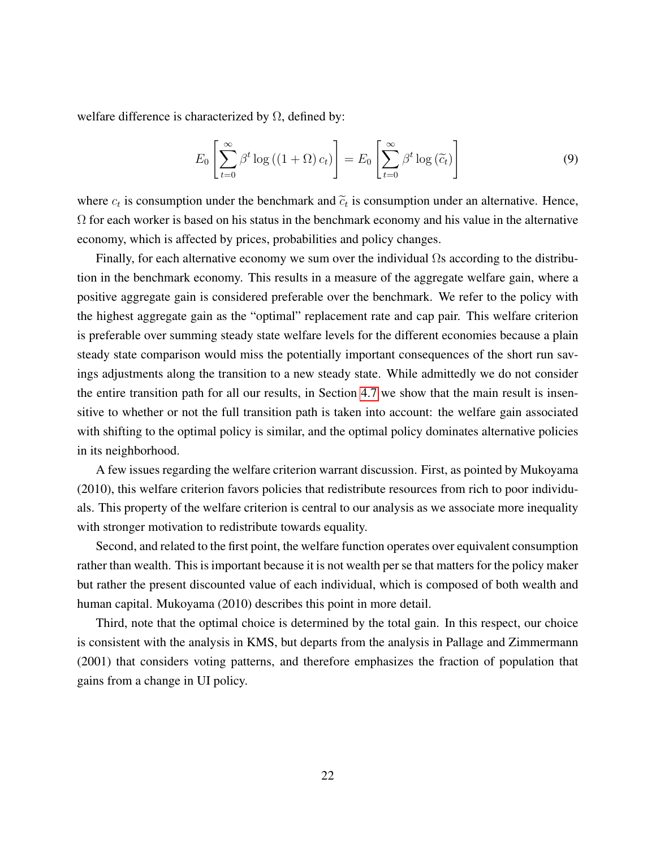welfare difference is characterized by  $\Omega$ , defined by:

$$
E_0\left[\sum_{t=0}^{\infty} \beta^t \log\left(\left(1+\Omega\right)c_t\right)\right] = E_0\left[\sum_{t=0}^{\infty} \beta^t \log\left(\widetilde{c}_t\right)\right]
$$
(9)

where  $c_t$  is consumption under the benchmark and  $\tilde{c}_t$  is consumption under an alternative. Hence,  $\Omega$  for each worker is based on his status in the benchmark economy and his value in the alternative economy, which is affected by prices, probabilities and policy changes.

Finally, for each alternative economy we sum over the individual  $\Omega$ s according to the distribution in the benchmark economy. This results in a measure of the aggregate welfare gain, where a positive aggregate gain is considered preferable over the benchmark. We refer to the policy with the highest aggregate gain as the "optimal" replacement rate and cap pair. This welfare criterion is preferable over summing steady state welfare levels for the different economies because a plain steady state comparison would miss the potentially important consequences of the short run savings adjustments along the transition to a new steady state. While admittedly we do not consider the entire transition path for all our results, in Section [4.7](#page-31-0) we show that the main result is insensitive to whether or not the full transition path is taken into account: the welfare gain associated with shifting to the optimal policy is similar, and the optimal policy dominates alternative policies in its neighborhood.

A few issues regarding the welfare criterion warrant discussion. First, as pointed by Mukoyama (2010), this welfare criterion favors policies that redistribute resources from rich to poor individuals. This property of the welfare criterion is central to our analysis as we associate more inequality with stronger motivation to redistribute towards equality.

Second, and related to the first point, the welfare function operates over equivalent consumption rather than wealth. This is important because it is not wealth per se that matters for the policy maker but rather the present discounted value of each individual, which is composed of both wealth and human capital. Mukoyama (2010) describes this point in more detail.

Third, note that the optimal choice is determined by the total gain. In this respect, our choice is consistent with the analysis in KMS, but departs from the analysis in Pallage and Zimmermann (2001) that considers voting patterns, and therefore emphasizes the fraction of population that gains from a change in UI policy.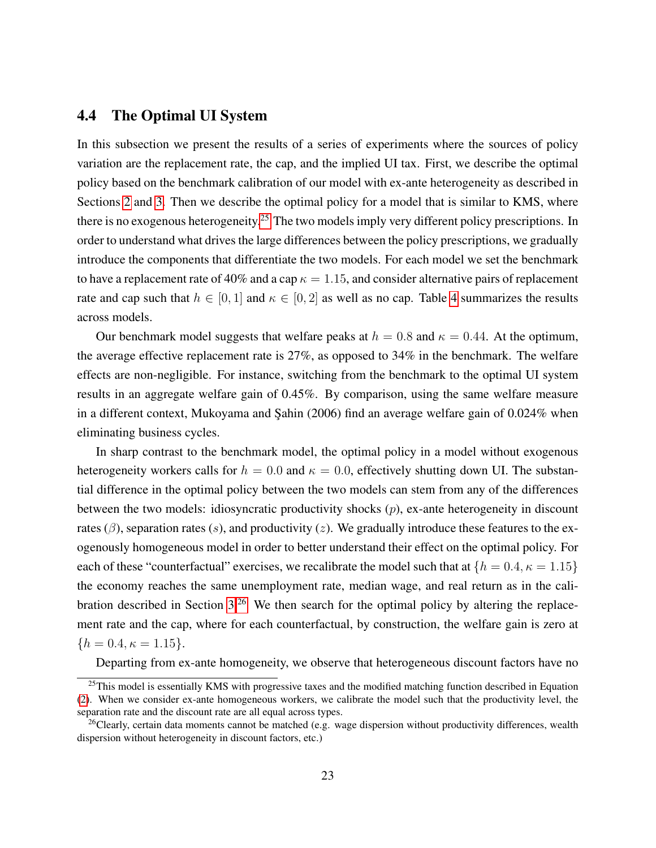### <span id="page-23-0"></span>4.4 The Optimal UI System

In this subsection we present the results of a series of experiments where the sources of policy variation are the replacement rate, the cap, and the implied UI tax. First, we describe the optimal policy based on the benchmark calibration of our model with ex-ante heterogeneity as described in Sections [2](#page-6-0) and [3.](#page-12-0) Then we describe the optimal policy for a model that is similar to KMS, where there is no exogenous heterogeneity.<sup>[25](#page-1-0)</sup> The two models imply very different policy prescriptions. In order to understand what drives the large differences between the policy prescriptions, we gradually introduce the components that differentiate the two models. For each model we set the benchmark to have a replacement rate of 40% and a cap  $\kappa = 1.15$ , and consider alternative pairs of replacement rate and cap such that  $h \in [0, 1]$  and  $\kappa \in [0, 2]$  as well as no cap. Table [4](#page-24-0) summarizes the results across models.

Our benchmark model suggests that welfare peaks at  $h = 0.8$  and  $\kappa = 0.44$ . At the optimum, the average effective replacement rate is 27%, as opposed to 34% in the benchmark. The welfare effects are non-negligible. For instance, switching from the benchmark to the optimal UI system results in an aggregate welfare gain of 0.45%. By comparison, using the same welfare measure in a different context, Mukoyama and Şahin (2006) find an average welfare gain of 0.024% when eliminating business cycles.

In sharp contrast to the benchmark model, the optimal policy in a model without exogenous heterogeneity workers calls for  $h = 0.0$  and  $\kappa = 0.0$ , effectively shutting down UI. The substantial difference in the optimal policy between the two models can stem from any of the differences between the two models: idiosyncratic productivity shocks  $(p)$ , ex-ante heterogeneity in discount rates ( $\beta$ ), separation rates (s), and productivity (z). We gradually introduce these features to the exogenously homogeneous model in order to better understand their effect on the optimal policy. For each of these "counterfactual" exercises, we recalibrate the model such that at  $\{h = 0.4, \kappa = 1.15\}$ the economy reaches the same unemployment rate, median wage, and real return as in the cali-bration described in Section [3.](#page-12-0)<sup>[26](#page-1-0)</sup> We then search for the optimal policy by altering the replacement rate and the cap, where for each counterfactual, by construction, the welfare gain is zero at  ${h = 0.4, \kappa = 1.15}.$ 

Departing from ex-ante homogeneity, we observe that heterogeneous discount factors have no

<sup>&</sup>lt;sup>25</sup>This model is essentially KMS with progressive taxes and the modified matching function described in Equation [\(2\)](#page-9-0). When we consider ex-ante homogeneous workers, we calibrate the model such that the productivity level, the separation rate and the discount rate are all equal across types.

 $26$ Clearly, certain data moments cannot be matched (e.g. wage dispersion without productivity differences, wealth dispersion without heterogeneity in discount factors, etc.)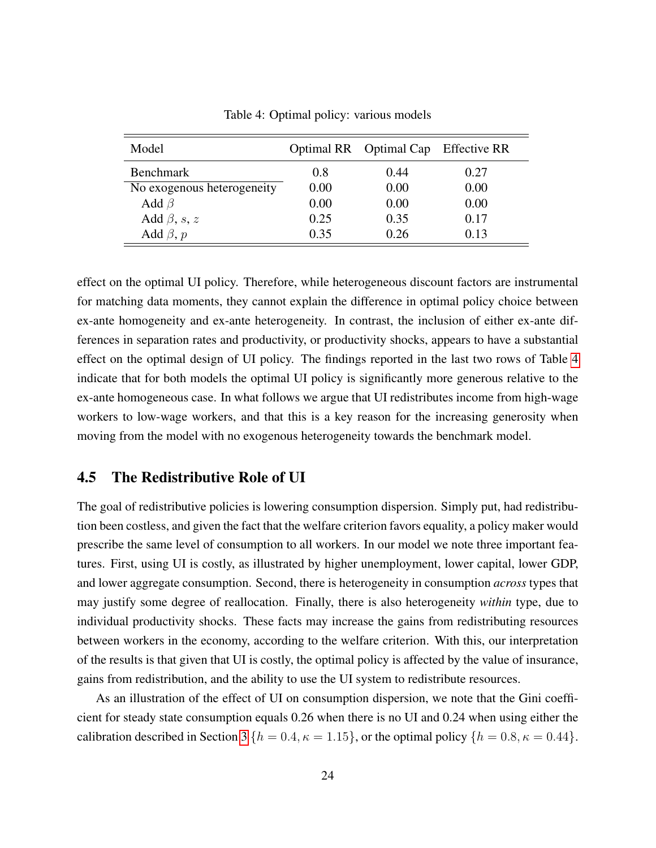<span id="page-24-0"></span>

| Model                      |      | Optimal RR Optimal Cap Effective RR |      |
|----------------------------|------|-------------------------------------|------|
| <b>Benchmark</b>           | 0.8  | 0.44                                | 0.27 |
| No exogenous heterogeneity | 0.00 | 0.00                                | 0.00 |
| Add $\beta$                | 0.00 | 0.00                                | 0.00 |
| Add $\beta$ , s, z         | 0.25 | 0.35                                | 0.17 |
| Add $\beta$ , p            | 0.35 | 0.26                                | 0.13 |

Table 4: Optimal policy: various models

effect on the optimal UI policy. Therefore, while heterogeneous discount factors are instrumental for matching data moments, they cannot explain the difference in optimal policy choice between ex-ante homogeneity and ex-ante heterogeneity. In contrast, the inclusion of either ex-ante differences in separation rates and productivity, or productivity shocks, appears to have a substantial effect on the optimal design of UI policy. The findings reported in the last two rows of Table [4](#page-24-0) indicate that for both models the optimal UI policy is significantly more generous relative to the ex-ante homogeneous case. In what follows we argue that UI redistributes income from high-wage workers to low-wage workers, and that this is a key reason for the increasing generosity when moving from the model with no exogenous heterogeneity towards the benchmark model.

### 4.5 The Redistributive Role of UI

The goal of redistributive policies is lowering consumption dispersion. Simply put, had redistribution been costless, and given the fact that the welfare criterion favors equality, a policy maker would prescribe the same level of consumption to all workers. In our model we note three important features. First, using UI is costly, as illustrated by higher unemployment, lower capital, lower GDP, and lower aggregate consumption. Second, there is heterogeneity in consumption *across* types that may justify some degree of reallocation. Finally, there is also heterogeneity *within* type, due to individual productivity shocks. These facts may increase the gains from redistributing resources between workers in the economy, according to the welfare criterion. With this, our interpretation of the results is that given that UI is costly, the optimal policy is affected by the value of insurance, gains from redistribution, and the ability to use the UI system to redistribute resources.

As an illustration of the effect of UI on consumption dispersion, we note that the Gini coefficient for steady state consumption equals 0.26 when there is no UI and 0.24 when using either the calibration described in Section [3](#page-12-0) { $h = 0.4$ ,  $\kappa = 1.15$ }, or the optimal policy { $h = 0.8$ ,  $\kappa = 0.44$ }.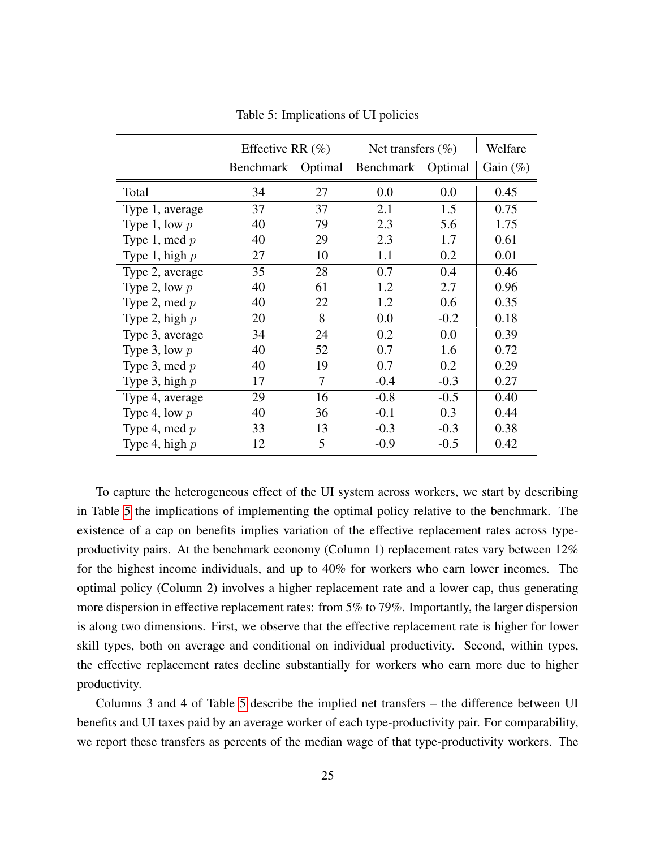<span id="page-25-0"></span>

|                  | Effective RR $(\%)$ |         | Net transfers $(\% )$ |        | Welfare     |
|------------------|---------------------|---------|-----------------------|--------|-------------|
|                  | Benchmark           | Optimal | Benchmark Optimal     |        | Gain $(\%)$ |
| Total            | 34                  | 27      | 0.0                   | 0.0    | 0.45        |
| Type 1, average  | 37                  | 37      | 2.1                   | 1.5    | 0.75        |
| Type 1, low $p$  | 40                  | 79      | 2.3                   | 5.6    | 1.75        |
| Type 1, med $p$  | 40                  | 29      | 2.3                   | 1.7    | 0.61        |
| Type 1, high $p$ | 27                  | 10      | 1.1                   | 0.2    | 0.01        |
| Type 2, average  | 35                  | 28      | 0.7                   | 0.4    | 0.46        |
| Type 2, low $p$  | 40                  | 61      | 1.2                   | 2.7    | 0.96        |
| Type 2, med $p$  | 40                  | 22      | 1.2                   | 0.6    | 0.35        |
| Type 2, high $p$ | 20                  | 8       | 0.0                   | $-0.2$ | 0.18        |
| Type 3, average  | 34                  | 24      | 0.2                   | 0.0    | 0.39        |
| Type 3, low $p$  | 40                  | 52      | 0.7                   | 1.6    | 0.72        |
| Type 3, med $p$  | 40                  | 19      | 0.7                   | 0.2    | 0.29        |
| Type 3, high $p$ | 17                  | 7       | $-0.4$                | $-0.3$ | 0.27        |
| Type 4, average  | 29                  | 16      | $-0.8$                | $-0.5$ | 0.40        |
| Type 4, low $p$  | 40                  | 36      | $-0.1$                | 0.3    | 0.44        |
| Type 4, med $p$  | 33                  | 13      | $-0.3$                | $-0.3$ | 0.38        |
| Type 4, high $p$ | 12                  | 5       | $-0.9$                | $-0.5$ | 0.42        |

Table 5: Implications of UI policies

To capture the heterogeneous effect of the UI system across workers, we start by describing in Table [5](#page-25-0) the implications of implementing the optimal policy relative to the benchmark. The existence of a cap on benefits implies variation of the effective replacement rates across typeproductivity pairs. At the benchmark economy (Column 1) replacement rates vary between 12% for the highest income individuals, and up to 40% for workers who earn lower incomes. The optimal policy (Column 2) involves a higher replacement rate and a lower cap, thus generating more dispersion in effective replacement rates: from 5% to 79%. Importantly, the larger dispersion is along two dimensions. First, we observe that the effective replacement rate is higher for lower skill types, both on average and conditional on individual productivity. Second, within types, the effective replacement rates decline substantially for workers who earn more due to higher productivity.

Columns 3 and 4 of Table [5](#page-25-0) describe the implied net transfers – the difference between UI benefits and UI taxes paid by an average worker of each type-productivity pair. For comparability, we report these transfers as percents of the median wage of that type-productivity workers. The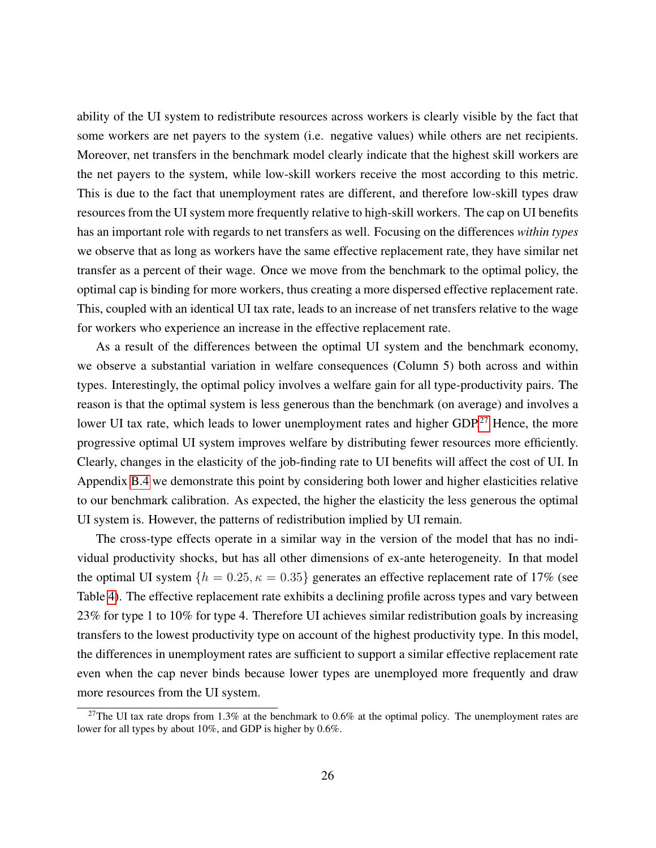ability of the UI system to redistribute resources across workers is clearly visible by the fact that some workers are net payers to the system (i.e. negative values) while others are net recipients. Moreover, net transfers in the benchmark model clearly indicate that the highest skill workers are the net payers to the system, while low-skill workers receive the most according to this metric. This is due to the fact that unemployment rates are different, and therefore low-skill types draw resources from the UI system more frequently relative to high-skill workers. The cap on UI benefits has an important role with regards to net transfers as well. Focusing on the differences *within types* we observe that as long as workers have the same effective replacement rate, they have similar net transfer as a percent of their wage. Once we move from the benchmark to the optimal policy, the optimal cap is binding for more workers, thus creating a more dispersed effective replacement rate. This, coupled with an identical UI tax rate, leads to an increase of net transfers relative to the wage for workers who experience an increase in the effective replacement rate.

As a result of the differences between the optimal UI system and the benchmark economy, we observe a substantial variation in welfare consequences (Column 5) both across and within types. Interestingly, the optimal policy involves a welfare gain for all type-productivity pairs. The reason is that the optimal system is less generous than the benchmark (on average) and involves a lower UI tax rate, which leads to lower unemployment rates and higher GDP.<sup>[27](#page-1-0)</sup> Hence, the more progressive optimal UI system improves welfare by distributing fewer resources more efficiently. Clearly, changes in the elasticity of the job-finding rate to UI benefits will affect the cost of UI. In Appendix [B.4](#page-50-0) we demonstrate this point by considering both lower and higher elasticities relative to our benchmark calibration. As expected, the higher the elasticity the less generous the optimal UI system is. However, the patterns of redistribution implied by UI remain.

The cross-type effects operate in a similar way in the version of the model that has no individual productivity shocks, but has all other dimensions of ex-ante heterogeneity. In that model the optimal UI system  $\{h = 0.25, \kappa = 0.35\}$  generates an effective replacement rate of 17% (see Table [4\)](#page-24-0). The effective replacement rate exhibits a declining profile across types and vary between 23% for type 1 to 10% for type 4. Therefore UI achieves similar redistribution goals by increasing transfers to the lowest productivity type on account of the highest productivity type. In this model, the differences in unemployment rates are sufficient to support a similar effective replacement rate even when the cap never binds because lower types are unemployed more frequently and draw more resources from the UI system.

<sup>&</sup>lt;sup>27</sup>The UI tax rate drops from 1.3% at the benchmark to 0.6% at the optimal policy. The unemployment rates are lower for all types by about 10%, and GDP is higher by 0.6%.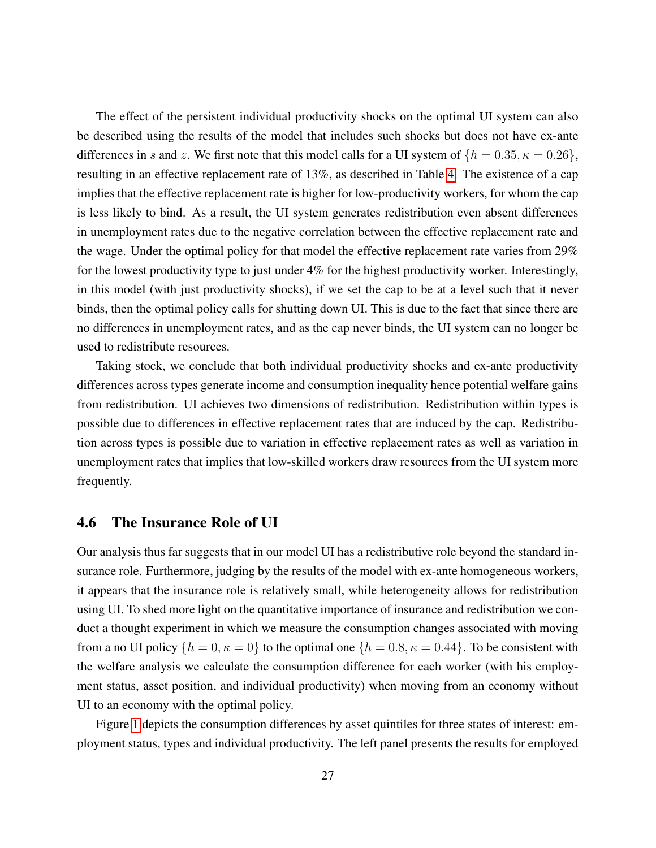The effect of the persistent individual productivity shocks on the optimal UI system can also be described using the results of the model that includes such shocks but does not have ex-ante differences in s and z. We first note that this model calls for a UI system of  $\{h = 0.35, \kappa = 0.26\}$ , resulting in an effective replacement rate of 13%, as described in Table [4.](#page-24-0) The existence of a cap implies that the effective replacement rate is higher for low-productivity workers, for whom the cap is less likely to bind. As a result, the UI system generates redistribution even absent differences in unemployment rates due to the negative correlation between the effective replacement rate and the wage. Under the optimal policy for that model the effective replacement rate varies from 29% for the lowest productivity type to just under 4% for the highest productivity worker. Interestingly, in this model (with just productivity shocks), if we set the cap to be at a level such that it never binds, then the optimal policy calls for shutting down UI. This is due to the fact that since there are no differences in unemployment rates, and as the cap never binds, the UI system can no longer be used to redistribute resources.

Taking stock, we conclude that both individual productivity shocks and ex-ante productivity differences across types generate income and consumption inequality hence potential welfare gains from redistribution. UI achieves two dimensions of redistribution. Redistribution within types is possible due to differences in effective replacement rates that are induced by the cap. Redistribution across types is possible due to variation in effective replacement rates as well as variation in unemployment rates that implies that low-skilled workers draw resources from the UI system more frequently.

#### <span id="page-27-0"></span>4.6 The Insurance Role of UI

Our analysis thus far suggests that in our model UI has a redistributive role beyond the standard insurance role. Furthermore, judging by the results of the model with ex-ante homogeneous workers, it appears that the insurance role is relatively small, while heterogeneity allows for redistribution using UI. To shed more light on the quantitative importance of insurance and redistribution we conduct a thought experiment in which we measure the consumption changes associated with moving from a no UI policy  $\{h = 0, \kappa = 0\}$  to the optimal one  $\{h = 0.8, \kappa = 0.44\}$ . To be consistent with the welfare analysis we calculate the consumption difference for each worker (with his employment status, asset position, and individual productivity) when moving from an economy without UI to an economy with the optimal policy.

Figure [1](#page-28-0) depicts the consumption differences by asset quintiles for three states of interest: employment status, types and individual productivity. The left panel presents the results for employed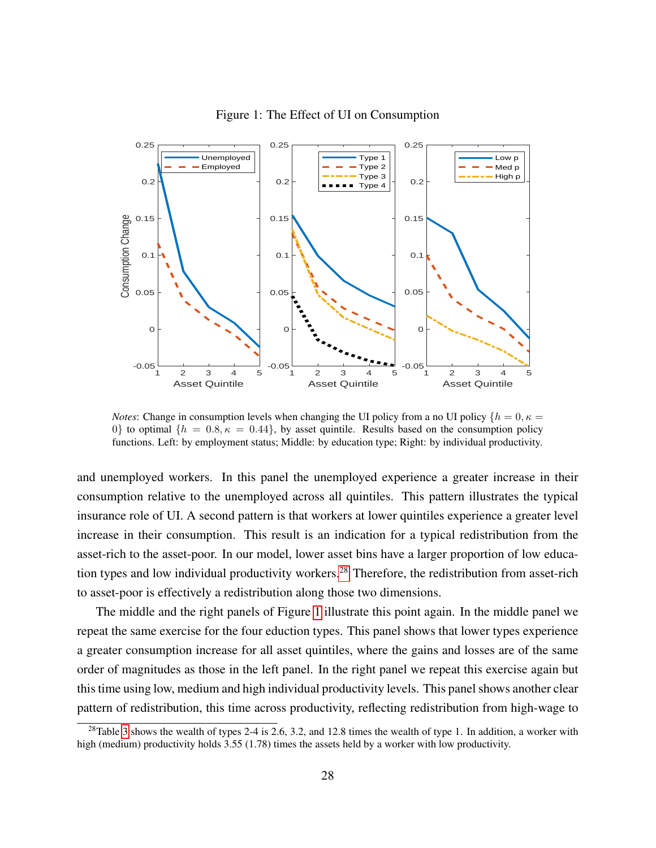<span id="page-28-0"></span>

Figure 1: The Effect of UI on Consumption

*Notes*: Change in consumption levels when changing the UI policy from a no UI policy  $\{h = 0, \kappa = 0\}$ 0} to optimal  $\{h = 0.8, \kappa = 0.44\}$ , by asset quintile. Results based on the consumption policy functions. Left: by employment status; Middle: by education type; Right: by individual productivity.

and unemployed workers. In this panel the unemployed experience a greater increase in their consumption relative to the unemployed across all quintiles. This pattern illustrates the typical insurance role of UI. A second pattern is that workers at lower quintiles experience a greater level increase in their consumption. This result is an indication for a typical redistribution from the asset-rich to the asset-poor. In our model, lower asset bins have a larger proportion of low educa-tion types and low individual productivity workers.<sup>[28](#page-1-0)</sup> Therefore, the redistribution from asset-rich to asset-poor is effectively a redistribution along those two dimensions.

The middle and the right panels of Figure [1](#page-28-0) illustrate this point again. In the middle panel we repeat the same exercise for the four eduction types. This panel shows that lower types experience a greater consumption increase for all asset quintiles, where the gains and losses are of the same order of magnitudes as those in the left panel. In the right panel we repeat this exercise again but this time using low, medium and high individual productivity levels. This panel shows another clear pattern of redistribution, this time across productivity, reflecting redistribution from high-wage to

<sup>&</sup>lt;sup>28</sup>Table [3](#page-20-0) shows the wealth of types 2-4 is 2.6, 3.2, and 12.8 times the wealth of type 1. In addition, a worker with high (medium) productivity holds 3.55 (1.78) times the assets held by a worker with low productivity.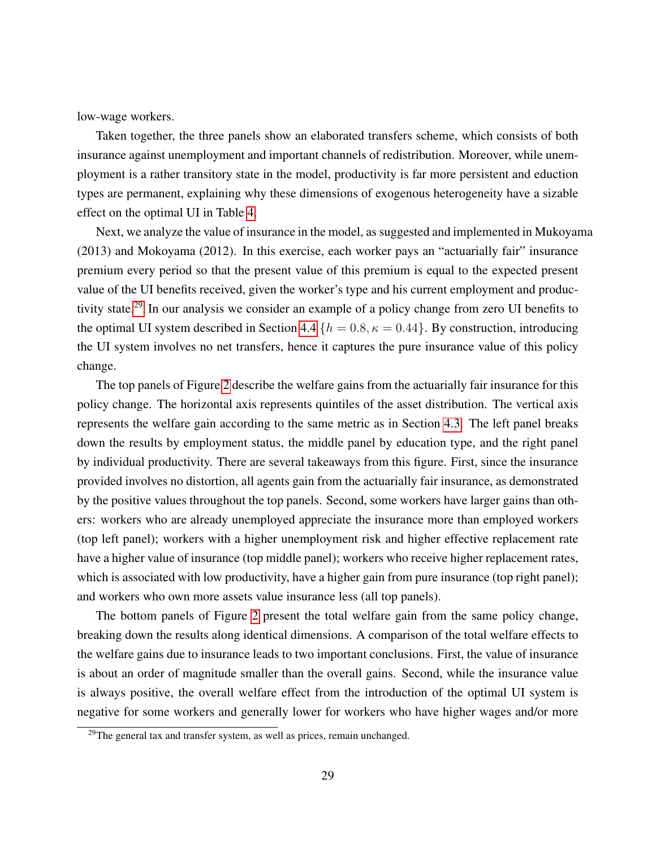low-wage workers.

Taken together, the three panels show an elaborated transfers scheme, which consists of both insurance against unemployment and important channels of redistribution. Moreover, while unemployment is a rather transitory state in the model, productivity is far more persistent and eduction types are permanent, explaining why these dimensions of exogenous heterogeneity have a sizable effect on the optimal UI in Table [4.](#page-24-0)

Next, we analyze the value of insurance in the model, as suggested and implemented in Mukoyama (2013) and Mokoyama (2012). In this exercise, each worker pays an "actuarially fair" insurance premium every period so that the present value of this premium is equal to the expected present value of the UI benefits received, given the worker's type and his current employment and produc-tivity state.<sup>[29](#page-1-0)</sup> In our analysis we consider an example of a policy change from zero UI benefits to the optimal UI system described in Section [4.4](#page-23-0)  $\{h = 0.8, \kappa = 0.44\}$ . By construction, introducing the UI system involves no net transfers, hence it captures the pure insurance value of this policy change.

The top panels of Figure [2](#page-30-0) describe the welfare gains from the actuarially fair insurance for this policy change. The horizontal axis represents quintiles of the asset distribution. The vertical axis represents the welfare gain according to the same metric as in Section [4.3.](#page-21-0) The left panel breaks down the results by employment status, the middle panel by education type, and the right panel by individual productivity. There are several takeaways from this figure. First, since the insurance provided involves no distortion, all agents gain from the actuarially fair insurance, as demonstrated by the positive values throughout the top panels. Second, some workers have larger gains than others: workers who are already unemployed appreciate the insurance more than employed workers (top left panel); workers with a higher unemployment risk and higher effective replacement rate have a higher value of insurance (top middle panel); workers who receive higher replacement rates, which is associated with low productivity, have a higher gain from pure insurance (top right panel); and workers who own more assets value insurance less (all top panels).

The bottom panels of Figure [2](#page-30-0) present the total welfare gain from the same policy change, breaking down the results along identical dimensions. A comparison of the total welfare effects to the welfare gains due to insurance leads to two important conclusions. First, the value of insurance is about an order of magnitude smaller than the overall gains. Second, while the insurance value is always positive, the overall welfare effect from the introduction of the optimal UI system is negative for some workers and generally lower for workers who have higher wages and/or more

 $29$ The general tax and transfer system, as well as prices, remain unchanged.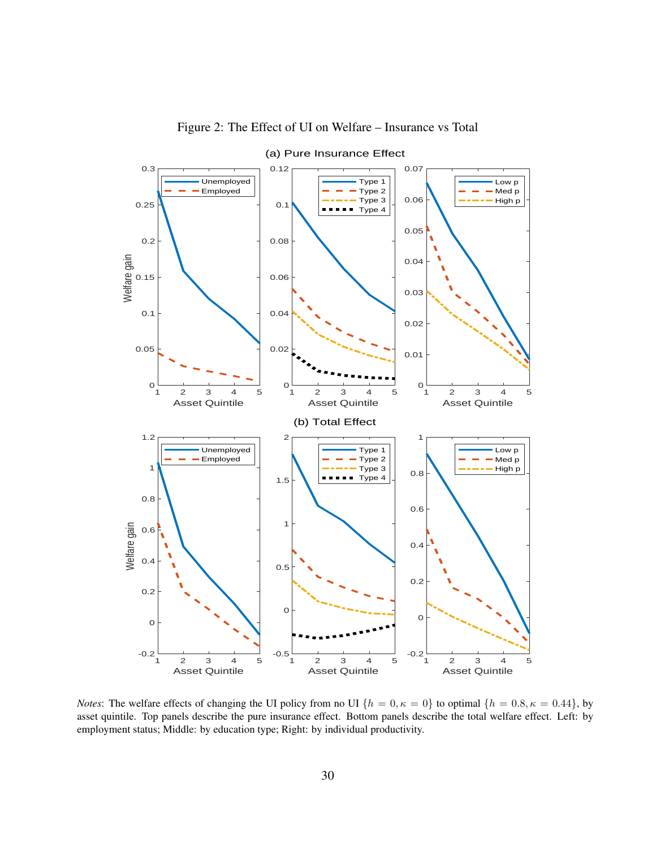<span id="page-30-0"></span>

Figure 2: The Effect of UI on Welfare – Insurance vs Total

*Notes*: The welfare effects of changing the UI policy from no UI  $\{h = 0, \kappa = 0\}$  to optimal  $\{h = 0.8, \kappa = 0.44\}$ , by asset quintile. Top panels describe the pure insurance effect. Bottom panels describe the total welfare effect. Left: by employment status; Middle: by education type; Right: by individual productivity.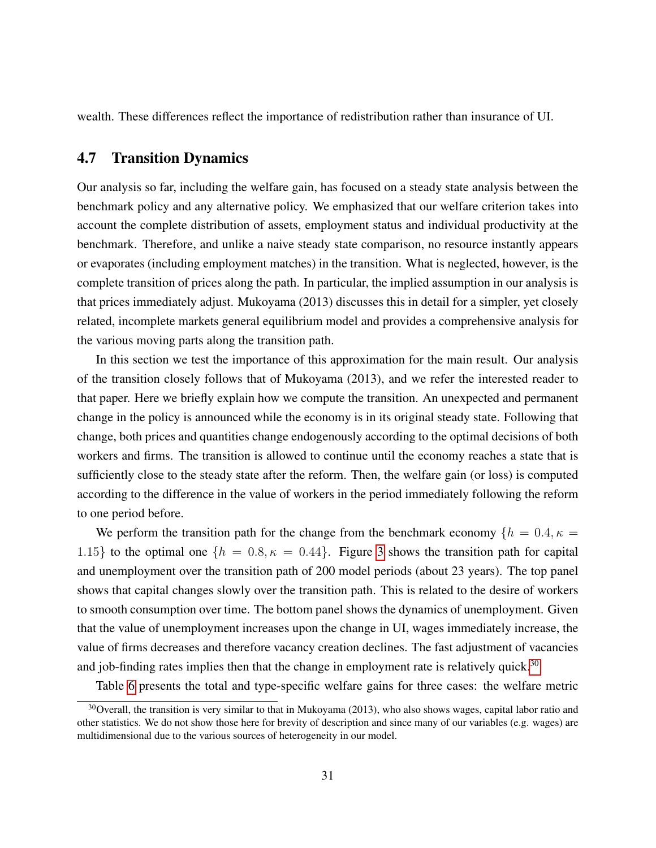wealth. These differences reflect the importance of redistribution rather than insurance of UI.

### <span id="page-31-0"></span>4.7 Transition Dynamics

Our analysis so far, including the welfare gain, has focused on a steady state analysis between the benchmark policy and any alternative policy. We emphasized that our welfare criterion takes into account the complete distribution of assets, employment status and individual productivity at the benchmark. Therefore, and unlike a naive steady state comparison, no resource instantly appears or evaporates (including employment matches) in the transition. What is neglected, however, is the complete transition of prices along the path. In particular, the implied assumption in our analysis is that prices immediately adjust. Mukoyama (2013) discusses this in detail for a simpler, yet closely related, incomplete markets general equilibrium model and provides a comprehensive analysis for the various moving parts along the transition path.

In this section we test the importance of this approximation for the main result. Our analysis of the transition closely follows that of Mukoyama (2013), and we refer the interested reader to that paper. Here we briefly explain how we compute the transition. An unexpected and permanent change in the policy is announced while the economy is in its original steady state. Following that change, both prices and quantities change endogenously according to the optimal decisions of both workers and firms. The transition is allowed to continue until the economy reaches a state that is sufficiently close to the steady state after the reform. Then, the welfare gain (or loss) is computed according to the difference in the value of workers in the period immediately following the reform to one period before.

We perform the transition path for the change from the benchmark economy  $\{h = 0.4, \kappa = 1\}$ 1.15} to the optimal one  $\{h = 0.8, \kappa = 0.44\}$ . Figure [3](#page-32-0) shows the transition path for capital and unemployment over the transition path of 200 model periods (about 23 years). The top panel shows that capital changes slowly over the transition path. This is related to the desire of workers to smooth consumption over time. The bottom panel shows the dynamics of unemployment. Given that the value of unemployment increases upon the change in UI, wages immediately increase, the value of firms decreases and therefore vacancy creation declines. The fast adjustment of vacancies and job-finding rates implies then that the change in employment rate is relatively quick.<sup>[30](#page-1-0)</sup>

Table [6](#page-32-1) presents the total and type-specific welfare gains for three cases: the welfare metric

 $30$ Overall, the transition is very similar to that in Mukoyama (2013), who also shows wages, capital labor ratio and other statistics. We do not show those here for brevity of description and since many of our variables (e.g. wages) are multidimensional due to the various sources of heterogeneity in our model.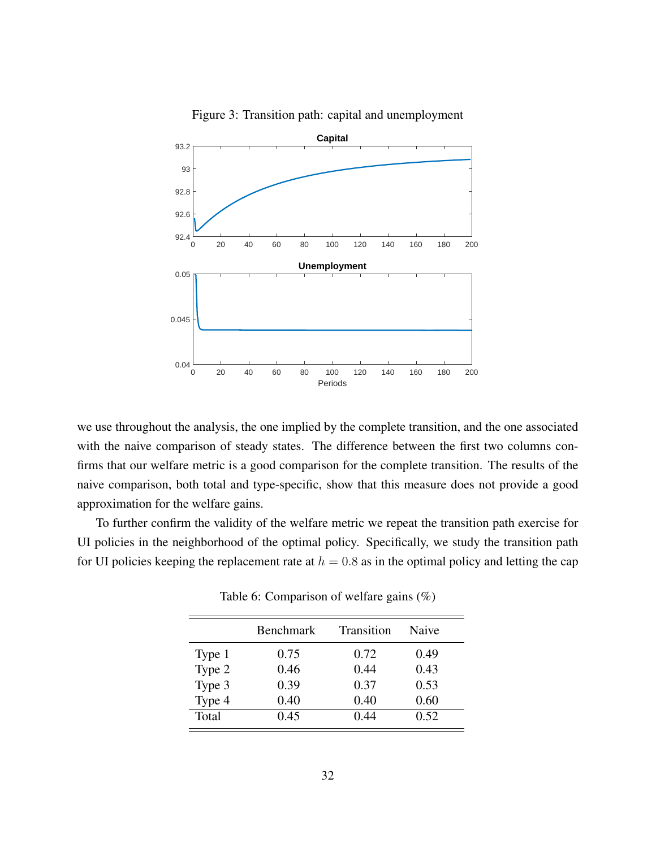<span id="page-32-0"></span>

Figure 3: Transition path: capital and unemployment

we use throughout the analysis, the one implied by the complete transition, and the one associated with the naive comparison of steady states. The difference between the first two columns confirms that our welfare metric is a good comparison for the complete transition. The results of the naive comparison, both total and type-specific, show that this measure does not provide a good approximation for the welfare gains.

<span id="page-32-1"></span>To further confirm the validity of the welfare metric we repeat the transition path exercise for UI policies in the neighborhood of the optimal policy. Specifically, we study the transition path for UI policies keeping the replacement rate at  $h = 0.8$  as in the optimal policy and letting the cap

|        | <b>Benchmark</b> | Transition | <b>Naive</b> |
|--------|------------------|------------|--------------|
| Type 1 | 0.75             | 0.72       | 0.49         |
| Type 2 | 0.46             | 0.44       | 0.43         |
| Type 3 | 0.39             | 0.37       | 0.53         |
| Type 4 | 0.40             | 0.40       | 0.60         |
| Total  | 0.45             | 0.44       | 0.52         |

Table 6: Comparison of welfare gains (%)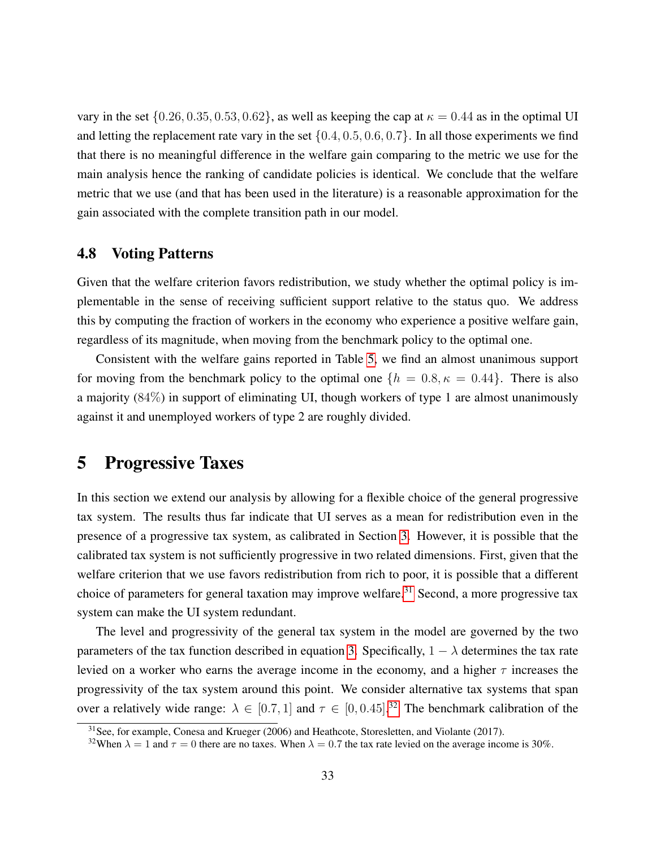vary in the set  $\{0.26, 0.35, 0.53, 0.62\}$ , as well as keeping the cap at  $\kappa = 0.44$  as in the optimal UI and letting the replacement rate vary in the set  $\{0.4, 0.5, 0.6, 0.7\}$ . In all those experiments we find that there is no meaningful difference in the welfare gain comparing to the metric we use for the main analysis hence the ranking of candidate policies is identical. We conclude that the welfare metric that we use (and that has been used in the literature) is a reasonable approximation for the gain associated with the complete transition path in our model.

### 4.8 Voting Patterns

Given that the welfare criterion favors redistribution, we study whether the optimal policy is implementable in the sense of receiving sufficient support relative to the status quo. We address this by computing the fraction of workers in the economy who experience a positive welfare gain, regardless of its magnitude, when moving from the benchmark policy to the optimal one.

Consistent with the welfare gains reported in Table [5,](#page-25-0) we find an almost unanimous support for moving from the benchmark policy to the optimal one  $\{h = 0.8, \kappa = 0.44\}$ . There is also a majority (84%) in support of eliminating UI, though workers of type 1 are almost unanimously against it and unemployed workers of type 2 are roughly divided.

## <span id="page-33-0"></span>5 Progressive Taxes

In this section we extend our analysis by allowing for a flexible choice of the general progressive tax system. The results thus far indicate that UI serves as a mean for redistribution even in the presence of a progressive tax system, as calibrated in Section [3.](#page-12-0) However, it is possible that the calibrated tax system is not sufficiently progressive in two related dimensions. First, given that the welfare criterion that we use favors redistribution from rich to poor, it is possible that a different choice of parameters for general taxation may improve welfare.<sup>[31](#page-1-0)</sup> Second, a more progressive tax system can make the UI system redundant.

The level and progressivity of the general tax system in the model are governed by the two parameters of the tax function described in equation [3.](#page-9-1) Specifically,  $1 - \lambda$  determines the tax rate levied on a worker who earns the average income in the economy, and a higher  $\tau$  increases the progressivity of the tax system around this point. We consider alternative tax systems that span over a relatively wide range:  $\lambda \in [0.7, 1]$  and  $\tau \in [0, 0.45]$ .<sup>[32](#page-1-0)</sup> The benchmark calibration of the

 $31$  See, for example, Conesa and Krueger (2006) and Heathcote, Storesletten, and Violante (2017).

<sup>&</sup>lt;sup>32</sup>When  $\lambda = 1$  and  $\tau = 0$  there are no taxes. When  $\lambda = 0.7$  the tax rate levied on the average income is 30%.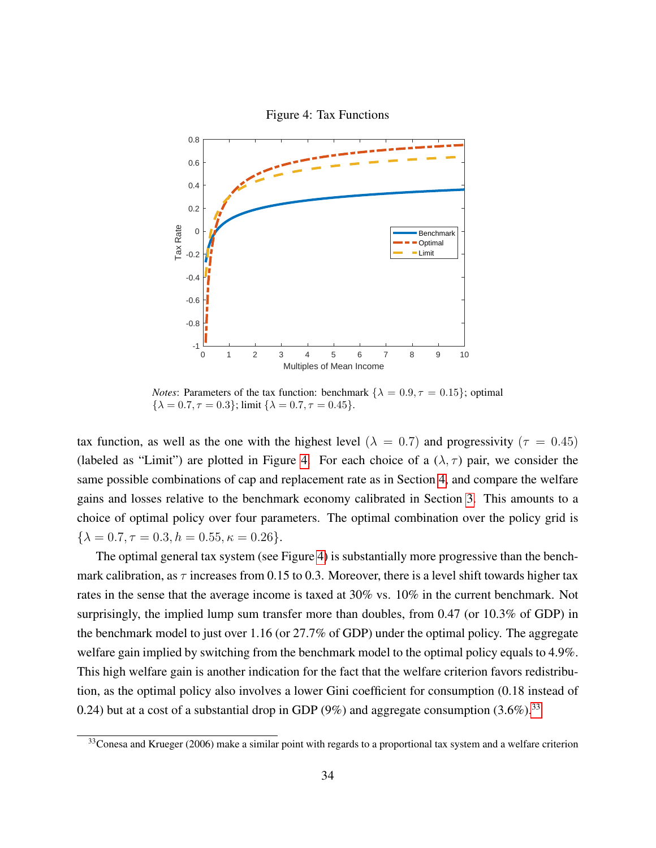<span id="page-34-0"></span>

*Notes*: Parameters of the tax function: benchmark  $\{\lambda = 0.9, \tau = 0.15\}$ ; optimal  $\{\lambda = 0.7, \tau = 0.3\}$ ; limit  $\{\lambda = 0.7, \tau = 0.45\}$ .

tax function, as well as the one with the highest level ( $\lambda = 0.7$ ) and progressivity ( $\tau = 0.45$ ) (labeled as "Limit") are plotted in Figure [4.](#page-34-0) For each choice of a  $(\lambda, \tau)$  pair, we consider the same possible combinations of cap and replacement rate as in Section [4,](#page-18-0) and compare the welfare gains and losses relative to the benchmark economy calibrated in Section [3.](#page-12-0) This amounts to a choice of optimal policy over four parameters. The optimal combination over the policy grid is  $\{\lambda = 0.7, \tau = 0.3, h = 0.55, \kappa = 0.26\}.$ 

The optimal general tax system (see Figure [4\)](#page-34-0) is substantially more progressive than the benchmark calibration, as  $\tau$  increases from 0.15 to 0.3. Moreover, there is a level shift towards higher tax rates in the sense that the average income is taxed at 30% vs. 10% in the current benchmark. Not surprisingly, the implied lump sum transfer more than doubles, from 0.47 (or 10.3% of GDP) in the benchmark model to just over 1.16 (or 27.7% of GDP) under the optimal policy. The aggregate welfare gain implied by switching from the benchmark model to the optimal policy equals to 4.9%. This high welfare gain is another indication for the fact that the welfare criterion favors redistribution, as the optimal policy also involves a lower Gini coefficient for consumption (0.18 instead of 0.24) but at a cost of a substantial drop in GDP (9%) and aggregate consumption  $(3.6\%)$ <sup>[33](#page-1-0)</sup>

<sup>&</sup>lt;sup>33</sup>Conesa and Krueger (2006) make a similar point with regards to a proportional tax system and a welfare criterion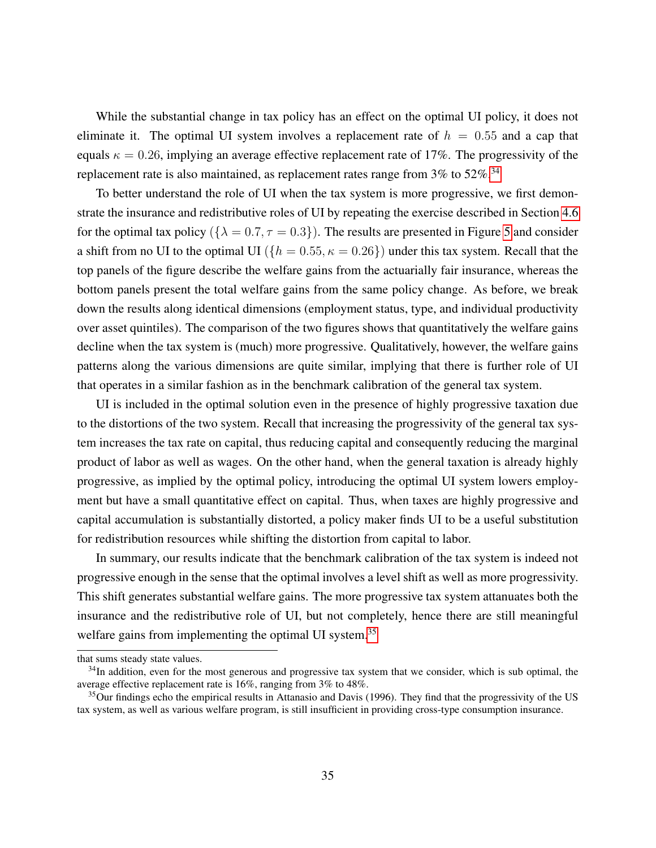While the substantial change in tax policy has an effect on the optimal UI policy, it does not eliminate it. The optimal UI system involves a replacement rate of  $h = 0.55$  and a cap that equals  $\kappa = 0.26$ , implying an average effective replacement rate of 17%. The progressivity of the replacement rate is also maintained, as replacement rates range from  $3\%$  to  $52\%.$ <sup>[34](#page-1-0)</sup>

To better understand the role of UI when the tax system is more progressive, we first demonstrate the insurance and redistributive roles of UI by repeating the exercise described in Section [4.6](#page-27-0) for the optimal tax policy ( $\{\lambda = 0.7, \tau = 0.3\}$ ). The results are presented in Figure [5](#page-36-0) and consider a shift from no UI to the optimal UI ( $\{h = 0.55, \kappa = 0.26\}$ ) under this tax system. Recall that the top panels of the figure describe the welfare gains from the actuarially fair insurance, whereas the bottom panels present the total welfare gains from the same policy change. As before, we break down the results along identical dimensions (employment status, type, and individual productivity over asset quintiles). The comparison of the two figures shows that quantitatively the welfare gains decline when the tax system is (much) more progressive. Qualitatively, however, the welfare gains patterns along the various dimensions are quite similar, implying that there is further role of UI that operates in a similar fashion as in the benchmark calibration of the general tax system.

UI is included in the optimal solution even in the presence of highly progressive taxation due to the distortions of the two system. Recall that increasing the progressivity of the general tax system increases the tax rate on capital, thus reducing capital and consequently reducing the marginal product of labor as well as wages. On the other hand, when the general taxation is already highly progressive, as implied by the optimal policy, introducing the optimal UI system lowers employment but have a small quantitative effect on capital. Thus, when taxes are highly progressive and capital accumulation is substantially distorted, a policy maker finds UI to be a useful substitution for redistribution resources while shifting the distortion from capital to labor.

In summary, our results indicate that the benchmark calibration of the tax system is indeed not progressive enough in the sense that the optimal involves a level shift as well as more progressivity. This shift generates substantial welfare gains. The more progressive tax system attanuates both the insurance and the redistributive role of UI, but not completely, hence there are still meaningful welfare gains from implementing the optimal UI system.<sup>[35](#page-1-0)</sup>

that sums steady state values.

<sup>&</sup>lt;sup>34</sup>In addition, even for the most generous and progressive tax system that we consider, which is sub optimal, the average effective replacement rate is 16%, ranging from 3% to 48%.

<sup>&</sup>lt;sup>35</sup>Our findings echo the empirical results in Attanasio and Davis (1996). They find that the progressivity of the US tax system, as well as various welfare program, is still insufficient in providing cross-type consumption insurance.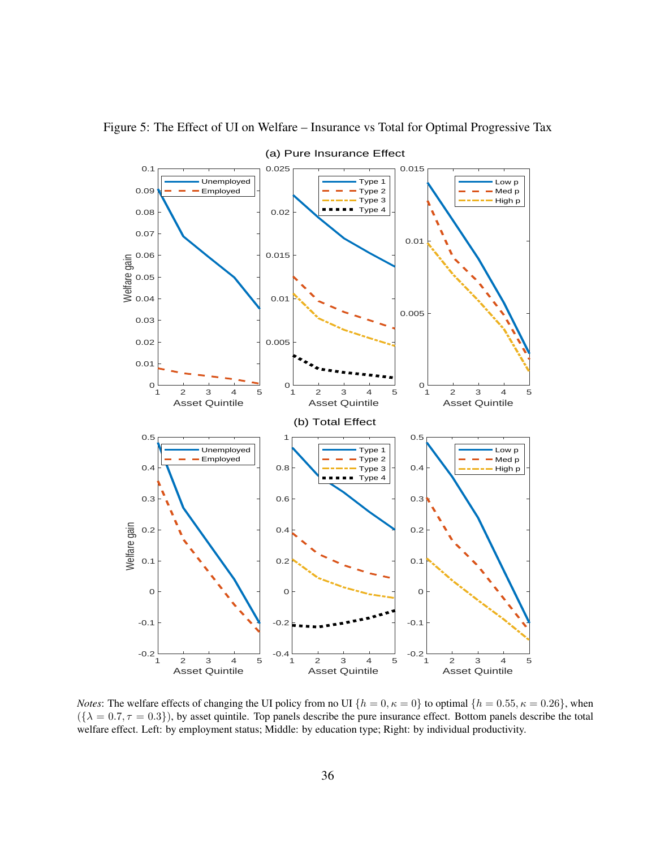

<span id="page-36-0"></span>Figure 5: The Effect of UI on Welfare – Insurance vs Total for Optimal Progressive Tax

*Notes*: The welfare effects of changing the UI policy from no UI  $\{h = 0, \kappa = 0\}$  to optimal  $\{h = 0.55, \kappa = 0.26\}$ , when  $({\lambda = 0.7, \tau = 0.3})$ , by asset quintile. Top panels describe the pure insurance effect. Bottom panels describe the total welfare effect. Left: by employment status; Middle: by education type; Right: by individual productivity.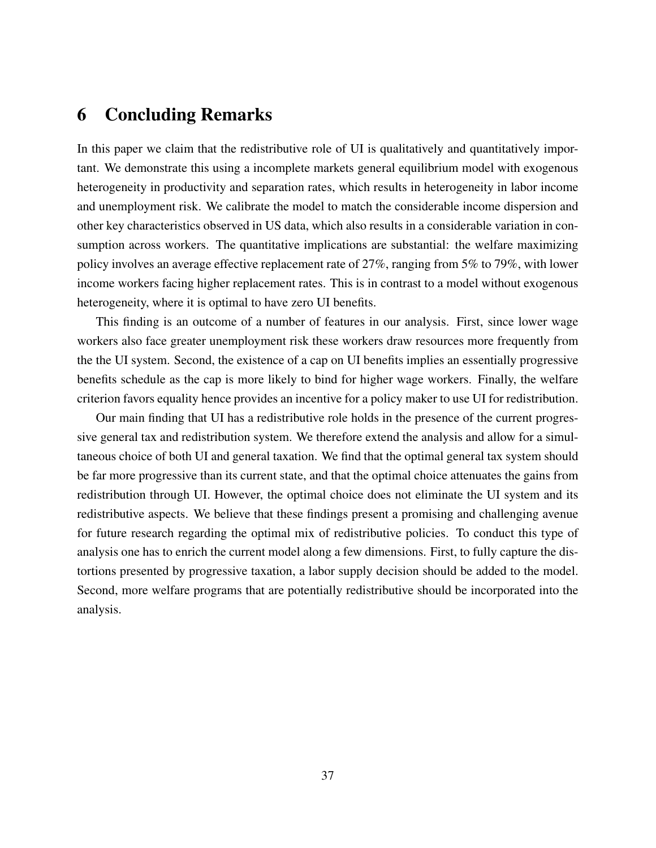## <span id="page-37-0"></span>6 Concluding Remarks

In this paper we claim that the redistributive role of UI is qualitatively and quantitatively important. We demonstrate this using a incomplete markets general equilibrium model with exogenous heterogeneity in productivity and separation rates, which results in heterogeneity in labor income and unemployment risk. We calibrate the model to match the considerable income dispersion and other key characteristics observed in US data, which also results in a considerable variation in consumption across workers. The quantitative implications are substantial: the welfare maximizing policy involves an average effective replacement rate of 27%, ranging from 5% to 79%, with lower income workers facing higher replacement rates. This is in contrast to a model without exogenous heterogeneity, where it is optimal to have zero UI benefits.

This finding is an outcome of a number of features in our analysis. First, since lower wage workers also face greater unemployment risk these workers draw resources more frequently from the the UI system. Second, the existence of a cap on UI benefits implies an essentially progressive benefits schedule as the cap is more likely to bind for higher wage workers. Finally, the welfare criterion favors equality hence provides an incentive for a policy maker to use UI for redistribution.

Our main finding that UI has a redistributive role holds in the presence of the current progressive general tax and redistribution system. We therefore extend the analysis and allow for a simultaneous choice of both UI and general taxation. We find that the optimal general tax system should be far more progressive than its current state, and that the optimal choice attenuates the gains from redistribution through UI. However, the optimal choice does not eliminate the UI system and its redistributive aspects. We believe that these findings present a promising and challenging avenue for future research regarding the optimal mix of redistributive policies. To conduct this type of analysis one has to enrich the current model along a few dimensions. First, to fully capture the distortions presented by progressive taxation, a labor supply decision should be added to the model. Second, more welfare programs that are potentially redistributive should be incorporated into the analysis.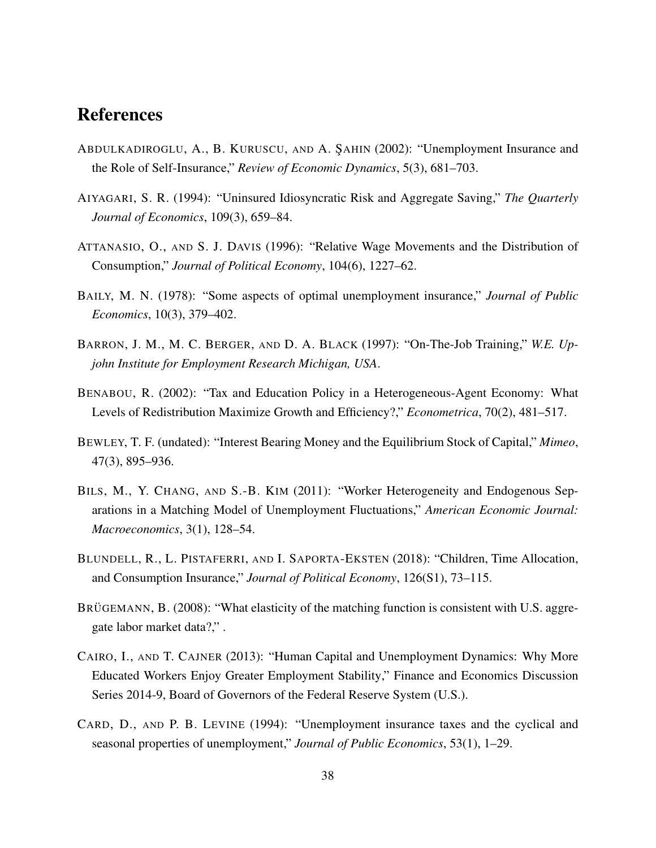## References

- ABDULKADIROGLU, A., B. KURUSCU, AND A. ŞAHIN (2002): "Unemployment Insurance and the Role of Self-Insurance," *Review of Economic Dynamics*, 5(3), 681–703.
- AIYAGARI, S. R. (1994): "Uninsured Idiosyncratic Risk and Aggregate Saving," *The Quarterly Journal of Economics*, 109(3), 659–84.
- ATTANASIO, O., AND S. J. DAVIS (1996): "Relative Wage Movements and the Distribution of Consumption," *Journal of Political Economy*, 104(6), 1227–62.
- BAILY, M. N. (1978): "Some aspects of optimal unemployment insurance," *Journal of Public Economics*, 10(3), 379–402.
- BARRON, J. M., M. C. BERGER, AND D. A. BLACK (1997): "On-The-Job Training," *W.E. Upjohn Institute for Employment Research Michigan, USA*.
- BENABOU, R. (2002): "Tax and Education Policy in a Heterogeneous-Agent Economy: What Levels of Redistribution Maximize Growth and Efficiency?," *Econometrica*, 70(2), 481–517.
- BEWLEY, T. F. (undated): "Interest Bearing Money and the Equilibrium Stock of Capital," *Mimeo*, 47(3), 895–936.
- BILS, M., Y. CHANG, AND S.-B. KIM (2011): "Worker Heterogeneity and Endogenous Separations in a Matching Model of Unemployment Fluctuations," *American Economic Journal: Macroeconomics*, 3(1), 128–54.
- BLUNDELL, R., L. PISTAFERRI, AND I. SAPORTA-EKSTEN (2018): "Children, Time Allocation, and Consumption Insurance," *Journal of Political Economy*, 126(S1), 73–115.
- BRUGEMANN, B. (2008): "What elasticity of the matching function is consistent with U.S. aggregate labor market data?," .
- CAIRO, I., AND T. CAJNER (2013): "Human Capital and Unemployment Dynamics: Why More Educated Workers Enjoy Greater Employment Stability," Finance and Economics Discussion Series 2014-9, Board of Governors of the Federal Reserve System (U.S.).
- CARD, D., AND P. B. LEVINE (1994): "Unemployment insurance taxes and the cyclical and seasonal properties of unemployment," *Journal of Public Economics*, 53(1), 1–29.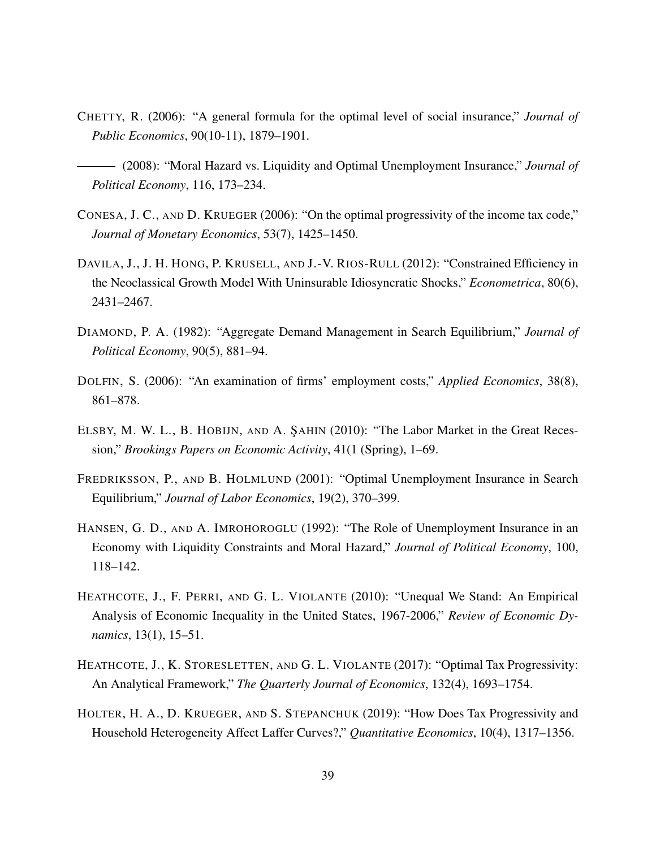- CHETTY, R. (2006): "A general formula for the optimal level of social insurance," *Journal of Public Economics*, 90(10-11), 1879–1901.
- (2008): "Moral Hazard vs. Liquidity and Optimal Unemployment Insurance," *Journal of Political Economy*, 116, 173–234.
- CONESA, J. C., AND D. KRUEGER (2006): "On the optimal progressivity of the income tax code," *Journal of Monetary Economics*, 53(7), 1425–1450.
- DAVILA, J., J. H. HONG, P. KRUSELL, AND J.-V. RIOS-RULL (2012): "Constrained Efficiency in the Neoclassical Growth Model With Uninsurable Idiosyncratic Shocks," *Econometrica*, 80(6), 2431–2467.
- DIAMOND, P. A. (1982): "Aggregate Demand Management in Search Equilibrium," *Journal of Political Economy*, 90(5), 881–94.
- DOLFIN, S. (2006): "An examination of firms' employment costs," *Applied Economics*, 38(8), 861–878.
- ELSBY, M. W. L., B. HOBIJN, AND A. ŞAHIN (2010): "The Labor Market in the Great Recession," *Brookings Papers on Economic Activity*, 41(1 (Spring), 1–69.
- FREDRIKSSON, P., AND B. HOLMLUND (2001): "Optimal Unemployment Insurance in Search Equilibrium," *Journal of Labor Economics*, 19(2), 370–399.
- HANSEN, G. D., AND A. IMROHOROGLU (1992): "The Role of Unemployment Insurance in an Economy with Liquidity Constraints and Moral Hazard," *Journal of Political Economy*, 100, 118–142.
- HEATHCOTE, J., F. PERRI, AND G. L. VIOLANTE (2010): "Unequal We Stand: An Empirical Analysis of Economic Inequality in the United States, 1967-2006," *Review of Economic Dynamics*, 13(1), 15–51.
- HEATHCOTE, J., K. STORESLETTEN, AND G. L. VIOLANTE (2017): "Optimal Tax Progressivity: An Analytical Framework," *The Quarterly Journal of Economics*, 132(4), 1693–1754.
- HOLTER, H. A., D. KRUEGER, AND S. STEPANCHUK (2019): "How Does Tax Progressivity and Household Heterogeneity Affect Laffer Curves?," *Quantitative Economics*, 10(4), 1317–1356.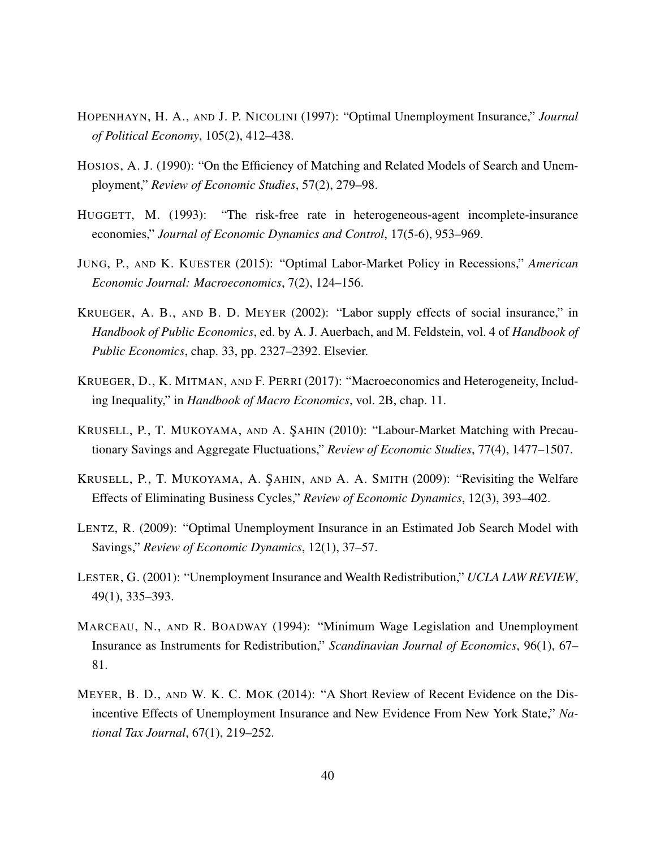- HOPENHAYN, H. A., AND J. P. NICOLINI (1997): "Optimal Unemployment Insurance," *Journal of Political Economy*, 105(2), 412–438.
- HOSIOS, A. J. (1990): "On the Efficiency of Matching and Related Models of Search and Unemployment," *Review of Economic Studies*, 57(2), 279–98.
- HUGGETT, M. (1993): "The risk-free rate in heterogeneous-agent incomplete-insurance economies," *Journal of Economic Dynamics and Control*, 17(5-6), 953–969.
- JUNG, P., AND K. KUESTER (2015): "Optimal Labor-Market Policy in Recessions," *American Economic Journal: Macroeconomics*, 7(2), 124–156.
- KRUEGER, A. B., AND B. D. MEYER (2002): "Labor supply effects of social insurance," in *Handbook of Public Economics*, ed. by A. J. Auerbach, and M. Feldstein, vol. 4 of *Handbook of Public Economics*, chap. 33, pp. 2327–2392. Elsevier.
- KRUEGER, D., K. MITMAN, AND F. PERRI (2017): "Macroeconomics and Heterogeneity, Including Inequality," in *Handbook of Macro Economics*, vol. 2B, chap. 11.
- KRUSELL, P., T. MUKOYAMA, AND A. ŞAHIN (2010): "Labour-Market Matching with Precautionary Savings and Aggregate Fluctuations," *Review of Economic Studies*, 77(4), 1477–1507.
- KRUSELL, P., T. MUKOYAMA, A. SAHIN, AND A. A. SMITH (2009): "Revisiting the Welfare Effects of Eliminating Business Cycles," *Review of Economic Dynamics*, 12(3), 393–402.
- LENTZ, R. (2009): "Optimal Unemployment Insurance in an Estimated Job Search Model with Savings," *Review of Economic Dynamics*, 12(1), 37–57.
- LESTER, G. (2001): "Unemployment Insurance and Wealth Redistribution," *UCLA LAW REVIEW*, 49(1), 335–393.
- MARCEAU, N., AND R. BOADWAY (1994): "Minimum Wage Legislation and Unemployment Insurance as Instruments for Redistribution," *Scandinavian Journal of Economics*, 96(1), 67– 81.
- MEYER, B. D., AND W. K. C. MOK (2014): "A Short Review of Recent Evidence on the Disincentive Effects of Unemployment Insurance and New Evidence From New York State," *National Tax Journal*, 67(1), 219–252.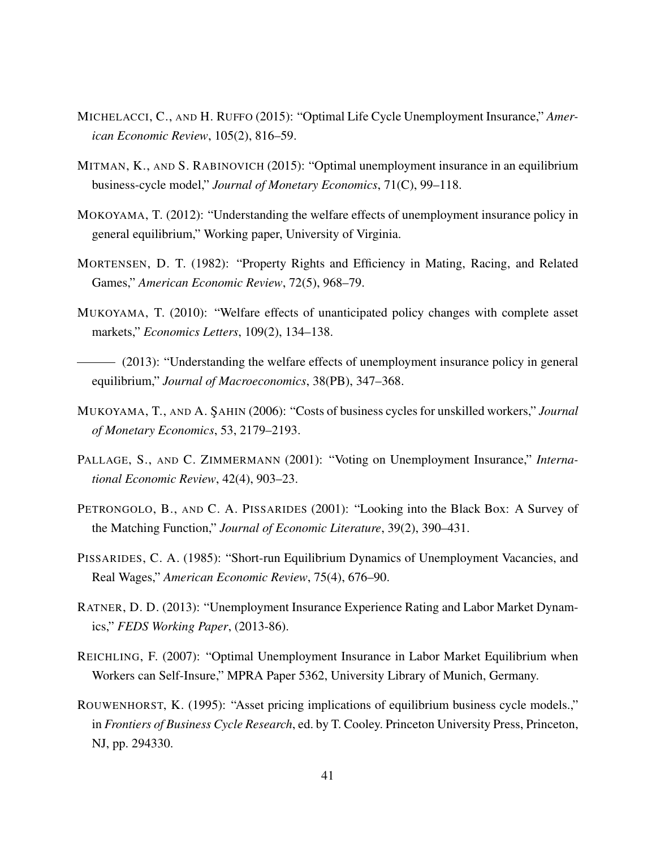- MICHELACCI, C., AND H. RUFFO (2015): "Optimal Life Cycle Unemployment Insurance," *American Economic Review*, 105(2), 816–59.
- MITMAN, K., AND S. RABINOVICH (2015): "Optimal unemployment insurance in an equilibrium business-cycle model," *Journal of Monetary Economics*, 71(C), 99–118.
- MOKOYAMA, T. (2012): "Understanding the welfare effects of unemployment insurance policy in general equilibrium," Working paper, University of Virginia.
- MORTENSEN, D. T. (1982): "Property Rights and Efficiency in Mating, Racing, and Related Games," *American Economic Review*, 72(5), 968–79.
- MUKOYAMA, T. (2010): "Welfare effects of unanticipated policy changes with complete asset markets," *Economics Letters*, 109(2), 134–138.
- (2013): "Understanding the welfare effects of unemployment insurance policy in general equilibrium," *Journal of Macroeconomics*, 38(PB), 347–368.
- MUKOYAMA, T., AND A. ŞAHIN (2006): "Costs of business cycles for unskilled workers," *Journal of Monetary Economics*, 53, 2179–2193.
- PALLAGE, S., AND C. ZIMMERMANN (2001): "Voting on Unemployment Insurance," *International Economic Review*, 42(4), 903–23.
- PETRONGOLO, B., AND C. A. PISSARIDES (2001): "Looking into the Black Box: A Survey of the Matching Function," *Journal of Economic Literature*, 39(2), 390–431.
- PISSARIDES, C. A. (1985): "Short-run Equilibrium Dynamics of Unemployment Vacancies, and Real Wages," *American Economic Review*, 75(4), 676–90.
- RATNER, D. D. (2013): "Unemployment Insurance Experience Rating and Labor Market Dynamics," *FEDS Working Paper*, (2013-86).
- REICHLING, F. (2007): "Optimal Unemployment Insurance in Labor Market Equilibrium when Workers can Self-Insure," MPRA Paper 5362, University Library of Munich, Germany.
- ROUWENHORST, K. (1995): "Asset pricing implications of equilibrium business cycle models.," in *Frontiers of Business Cycle Research*, ed. by T. Cooley. Princeton University Press, Princeton, NJ, pp. 294330.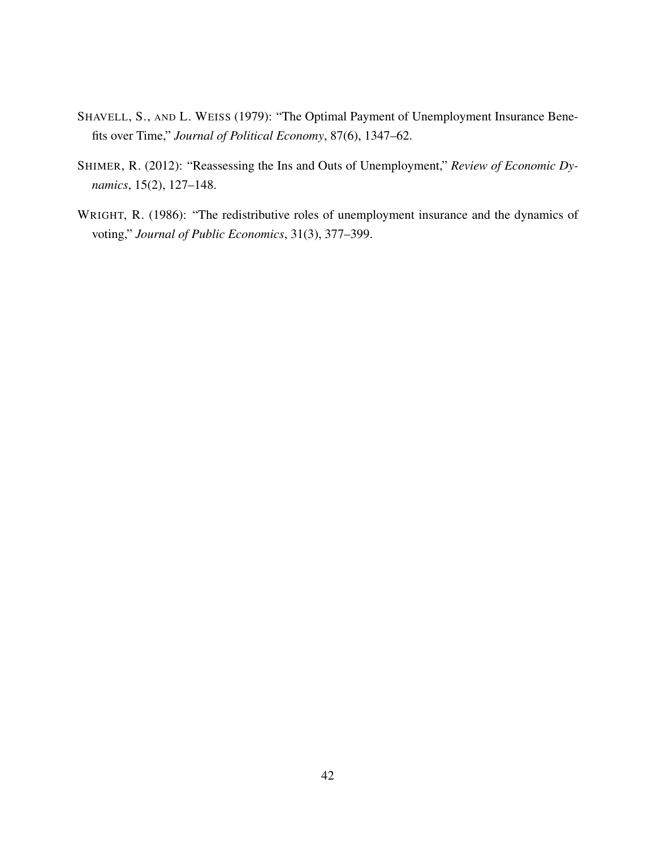- SHAVELL, S., AND L. WEISS (1979): "The Optimal Payment of Unemployment Insurance Benefits over Time," *Journal of Political Economy*, 87(6), 1347–62.
- SHIMER, R. (2012): "Reassessing the Ins and Outs of Unemployment," *Review of Economic Dynamics*, 15(2), 127–148.
- WRIGHT, R. (1986): "The redistributive roles of unemployment insurance and the dynamics of voting," *Journal of Public Economics*, 31(3), 377–399.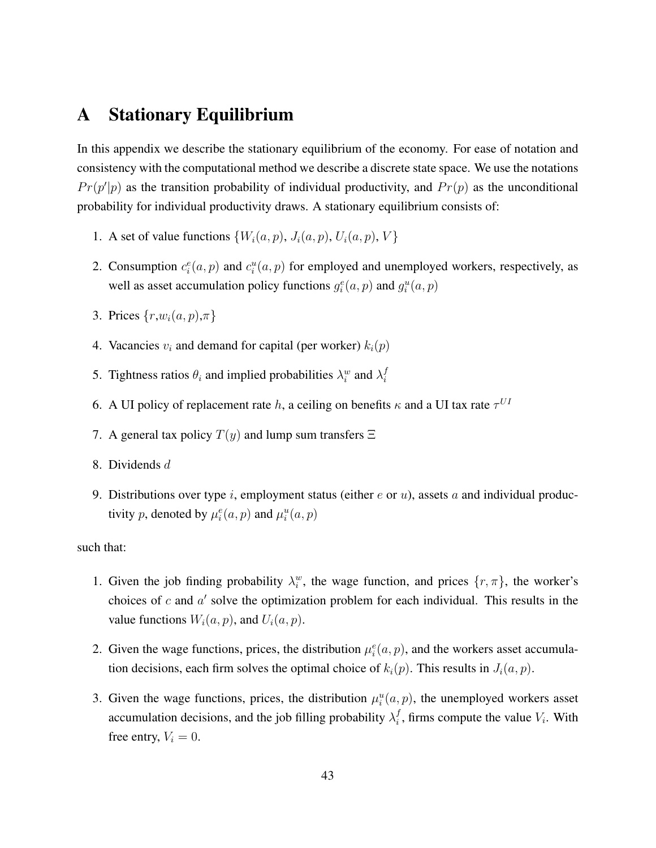## <span id="page-43-0"></span>A Stationary Equilibrium

In this appendix we describe the stationary equilibrium of the economy. For ease of notation and consistency with the computational method we describe a discrete state space. We use the notations  $Pr(p'|p)$  as the transition probability of individual productivity, and  $Pr(p)$  as the unconditional probability for individual productivity draws. A stationary equilibrium consists of:

- 1. A set of value functions  $\{W_i(a, p), J_i(a, p), U_i(a, p), V\}$
- 2. Consumption  $c_i^e(a, p)$  and  $c_i^u(a, p)$  for employed and unemployed workers, respectively, as well as asset accumulation policy functions  $g_i^e(a, p)$  and  $g_i^u(a, p)$
- 3. Prices  $\{r,w_i(a,p),\pi\}$
- 4. Vacancies  $v_i$  and demand for capital (per worker)  $k_i(p)$
- 5. Tightness ratios  $\theta_i$  and implied probabilities  $\lambda_i^w$  and  $\lambda_i^f$ i
- 6. A UI policy of replacement rate h, a ceiling on benefits  $\kappa$  and a UI tax rate  $\tau^{UI}$
- 7. A general tax policy  $T(y)$  and lump sum transfers  $\Xi$
- 8. Dividends d
- 9. Distributions over type i, employment status (either  $e$  or  $u$ ), assets a and individual productivity p, denoted by  $\mu_i^e(a, p)$  and  $\mu_i^u(a, p)$

such that:

- 1. Given the job finding probability  $\lambda_i^w$ , the wage function, and prices  $\{r, \pi\}$ , the worker's choices of  $c$  and  $a'$  solve the optimization problem for each individual. This results in the value functions  $W_i(a, p)$ , and  $U_i(a, p)$ .
- 2. Given the wage functions, prices, the distribution  $\mu_i^e(a, p)$ , and the workers asset accumulation decisions, each firm solves the optimal choice of  $k_i(p)$ . This results in  $J_i(a, p)$ .
- 3. Given the wage functions, prices, the distribution  $\mu_i^u(a, p)$ , the unemployed workers asset accumulation decisions, and the job filling probability  $\lambda_i^f$  $i<sub>i</sub>$ , firms compute the value  $V<sub>i</sub>$ . With free entry,  $V_i = 0$ .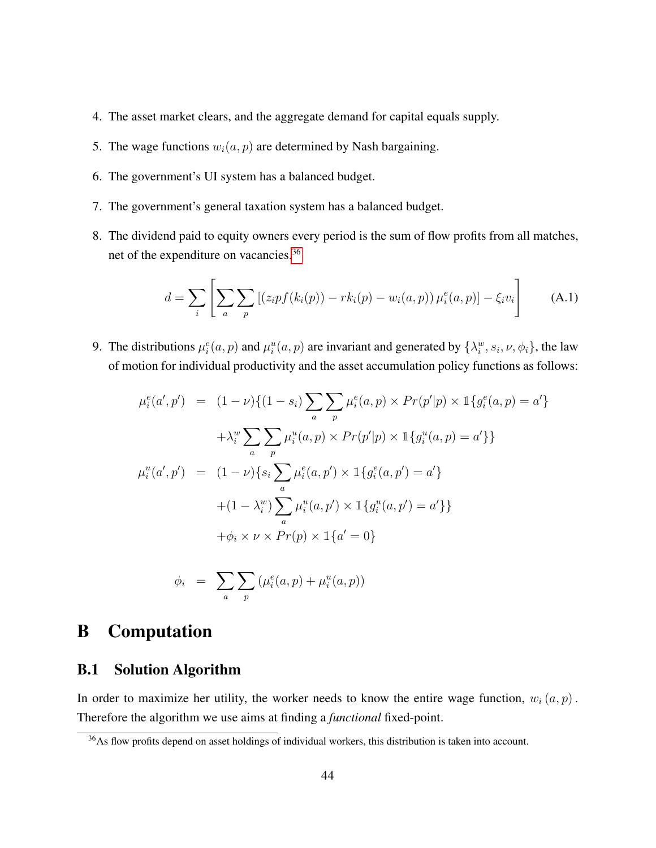- 4. The asset market clears, and the aggregate demand for capital equals supply.
- 5. The wage functions  $w_i(a, p)$  are determined by Nash bargaining.
- 6. The government's UI system has a balanced budget.
- 7. The government's general taxation system has a balanced budget.
- 8. The dividend paid to equity owners every period is the sum of flow profits from all matches, net of the expenditure on vacancies.[36](#page-1-0)

$$
d = \sum_{i} \left[ \sum_{a} \sum_{p} \left[ (z_{i} p f(k_{i}(p)) - r k_{i}(p) - w_{i}(a, p)) \mu_{i}^{e}(a, p) \right] - \xi_{i} v_{i} \right]
$$
 (A.1)

9. The distributions  $\mu_i^e(a, p)$  and  $\mu_i^u(a, p)$  are invariant and generated by  $\{\lambda_i^w, s_i, \nu, \phi_i\}$ , the law of motion for individual productivity and the asset accumulation policy functions as follows:

$$
\mu_i^e(a', p') = (1 - \nu) \{ (1 - s_i) \sum_a \sum_p \mu_i^e(a, p) \times Pr(p'|p) \times \mathbb{1} \{ g_i^e(a, p) = a' \} \n+ \lambda_i^w \sum_a \sum_p \mu_i^u(a, p) \times Pr(p'|p) \times \mathbb{1} \{ g_i^u(a, p) = a' \} \n\mu_i^u(a', p') = (1 - \nu) \{ s_i \sum_a \mu_i^e(a, p') \times \mathbb{1} \{ g_i^e(a, p') = a' \} \n+ (1 - \lambda_i^w) \sum_a \mu_i^u(a, p') \times \mathbb{1} \{ g_i^u(a, p') = a' \} \n+ \phi_i \times \nu \times Pr(p) \times \mathbb{1} \{ a' = 0 \}
$$

$$
\phi_i = \sum_a \sum_p (\mu_i^e(a, p) + \mu_i^u(a, p))
$$

## B Computation

### B.1 Solution Algorithm

In order to maximize her utility, the worker needs to know the entire wage function,  $w_i(a, p)$ . Therefore the algorithm we use aims at finding a *functional* fixed-point.

<sup>&</sup>lt;sup>36</sup>As flow profits depend on asset holdings of individual workers, this distribution is taken into account.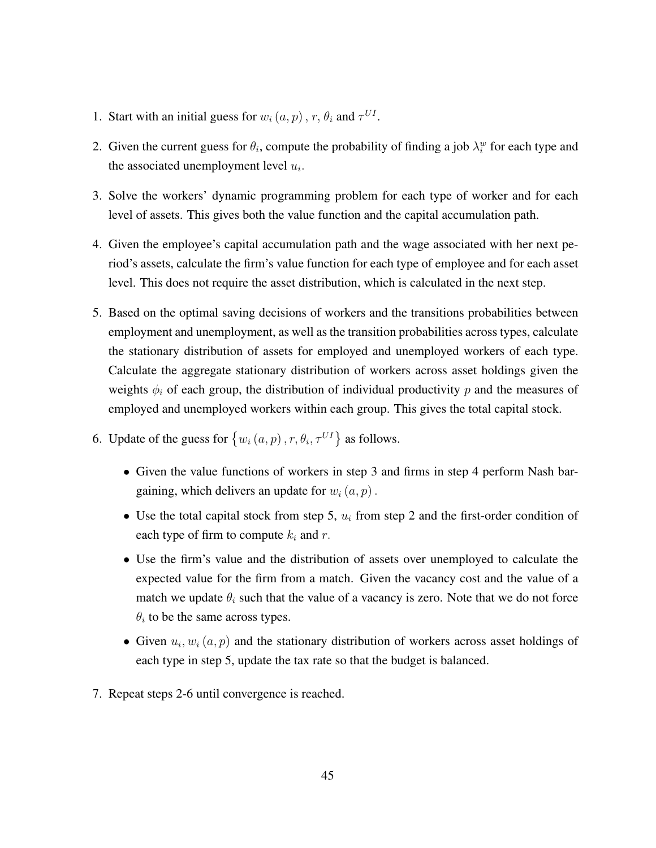- 1. Start with an initial guess for  $w_i(a, p)$ ,  $r, \theta_i$  and  $\tau^{UI}$ .
- 2. Given the current guess for  $\theta_i$ , compute the probability of finding a job  $\lambda_i^w$  for each type and the associated unemployment level  $u_i$ .
- 3. Solve the workers' dynamic programming problem for each type of worker and for each level of assets. This gives both the value function and the capital accumulation path.
- 4. Given the employee's capital accumulation path and the wage associated with her next period's assets, calculate the firm's value function for each type of employee and for each asset level. This does not require the asset distribution, which is calculated in the next step.
- 5. Based on the optimal saving decisions of workers and the transitions probabilities between employment and unemployment, as well as the transition probabilities across types, calculate the stationary distribution of assets for employed and unemployed workers of each type. Calculate the aggregate stationary distribution of workers across asset holdings given the weights  $\phi_i$  of each group, the distribution of individual productivity p and the measures of employed and unemployed workers within each group. This gives the total capital stock.
- 6. Update of the guess for  $\{w_i(a, p), r, \theta_i, \tau^{UI}\}\$ as follows.
	- Given the value functions of workers in step 3 and firms in step 4 perform Nash bargaining, which delivers an update for  $w_i(a, p)$ .
	- Use the total capital stock from step 5,  $u_i$  from step 2 and the first-order condition of each type of firm to compute  $k_i$  and r.
	- Use the firm's value and the distribution of assets over unemployed to calculate the expected value for the firm from a match. Given the vacancy cost and the value of a match we update  $\theta_i$  such that the value of a vacancy is zero. Note that we do not force  $\theta_i$  to be the same across types.
	- Given  $u_i, w_i(a, p)$  and the stationary distribution of workers across asset holdings of each type in step 5, update the tax rate so that the budget is balanced.
- 7. Repeat steps 2-6 until convergence is reached.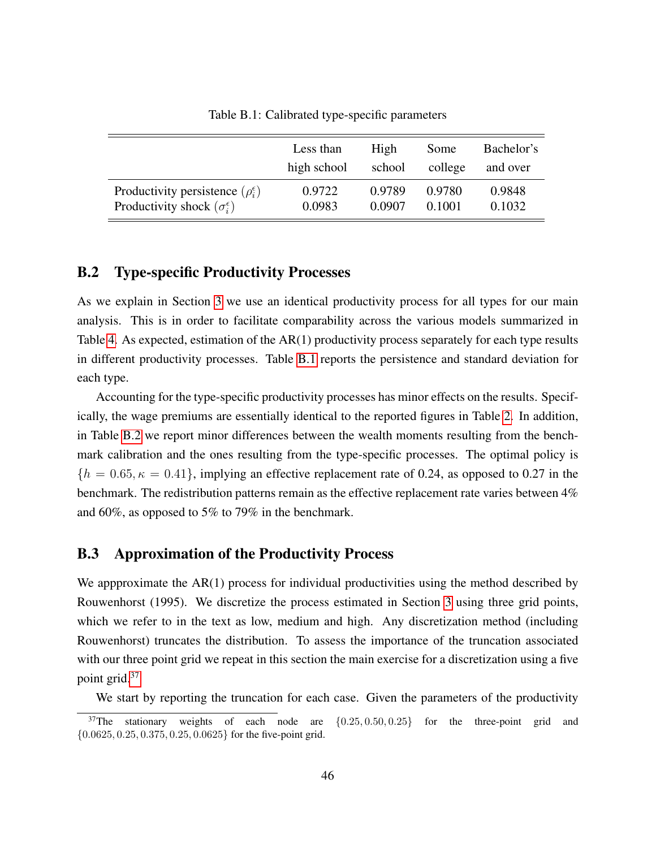<span id="page-46-1"></span>

|                                                | Less than   | High   | Some    | Bachelor's |
|------------------------------------------------|-------------|--------|---------|------------|
|                                                | high school | school | college | and over   |
| Productivity persistence $(\rho_i^{\epsilon})$ | 0.9722      | 0.9789 | 0.9780  | 0.9848     |
| Productivity shock $(\sigma_i^{\epsilon})$     | 0.0983      | 0.0907 | 0.1001  | 0.1032     |

Table B.1: Calibrated type-specific parameters

#### <span id="page-46-0"></span>B.2 Type-specific Productivity Processes

As we explain in Section [3](#page-12-0) we use an identical productivity process for all types for our main analysis. This is in order to facilitate comparability across the various models summarized in Table [4.](#page-24-0) As expected, estimation of the AR(1) productivity process separately for each type results in different productivity processes. Table [B.1](#page-46-1) reports the persistence and standard deviation for each type.

Accounting for the type-specific productivity processes has minor effects on the results. Specifically, the wage premiums are essentially identical to the reported figures in Table [2.](#page-18-2) In addition, in Table [B.2](#page-47-0) we report minor differences between the wealth moments resulting from the benchmark calibration and the ones resulting from the type-specific processes. The optimal policy is  ${h = 0.65, \kappa = 0.41}$ , implying an effective replacement rate of 0.24, as opposed to 0.27 in the benchmark. The redistribution patterns remain as the effective replacement rate varies between 4% and 60%, as opposed to 5% to 79% in the benchmark.

### <span id="page-46-2"></span>B.3 Approximation of the Productivity Process

We appproximate the AR(1) process for individual productivities using the method described by Rouwenhorst (1995). We discretize the process estimated in Section [3](#page-12-0) using three grid points, which we refer to in the text as low, medium and high. Any discretization method (including Rouwenhorst) truncates the distribution. To assess the importance of the truncation associated with our three point grid we repeat in this section the main exercise for a discretization using a five point grid.[37](#page-1-0)

We start by reporting the truncation for each case. Given the parameters of the productivity

 $37$ The stationary weights of each node are  $\{0.25, 0.50, 0.25\}$  for the three-point grid and  $\{0.0625, 0.25, 0.375, 0.25, 0.0625\}$  for the five-point grid.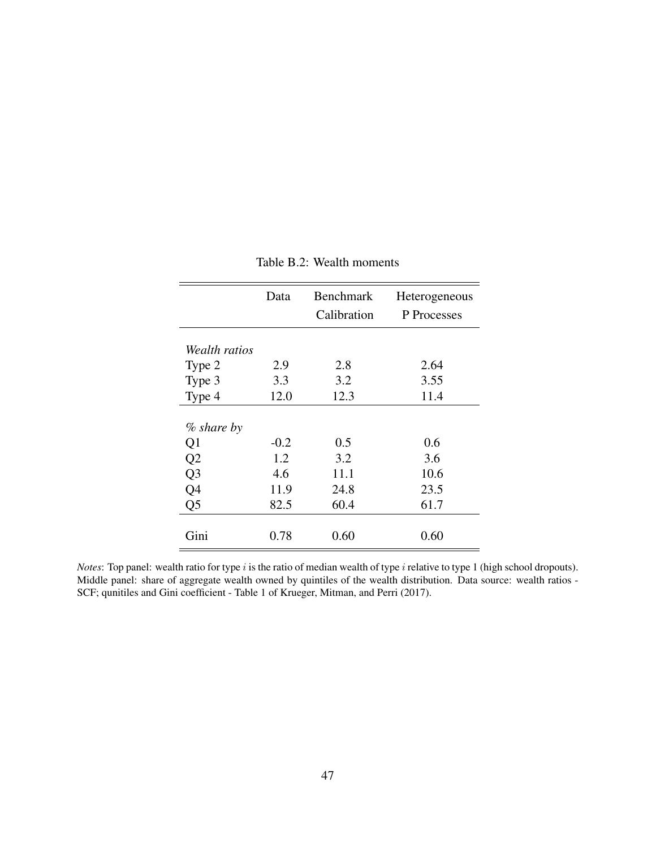<span id="page-47-0"></span>

|                | Data   | <b>Benchmark</b><br>Calibration | Heterogeneous<br>P Processes |
|----------------|--------|---------------------------------|------------------------------|
| Wealth ratios  |        |                                 |                              |
| Type 2         | 2.9    | 2.8                             | 2.64                         |
| Type 3         | 3.3    | 3.2                             | 3.55                         |
| Type 4         | 12.0   | 12.3                            | 11.4                         |
| $%$ share by   |        |                                 |                              |
| Q1             | $-0.2$ | 0.5                             | 0.6                          |
| Q2             | 1.2    | 3.2                             | 3.6                          |
| Q <sub>3</sub> | 4.6    | 11.1                            | 10.6                         |
| Q4             | 11.9   | 24.8                            | 23.5                         |
| Q <sub>5</sub> | 82.5   | 60.4                            | 61.7                         |
| Gini           | 0.78   | 0.60                            | 0.60                         |

#### Table B.2: Wealth moments

*Notes*: Top panel: wealth ratio for type i is the ratio of median wealth of type i relative to type 1 (high school dropouts). Middle panel: share of aggregate wealth owned by quintiles of the wealth distribution. Data source: wealth ratios - SCF; qunitiles and Gini coefficient - Table 1 of Krueger, Mitman, and Perri (2017).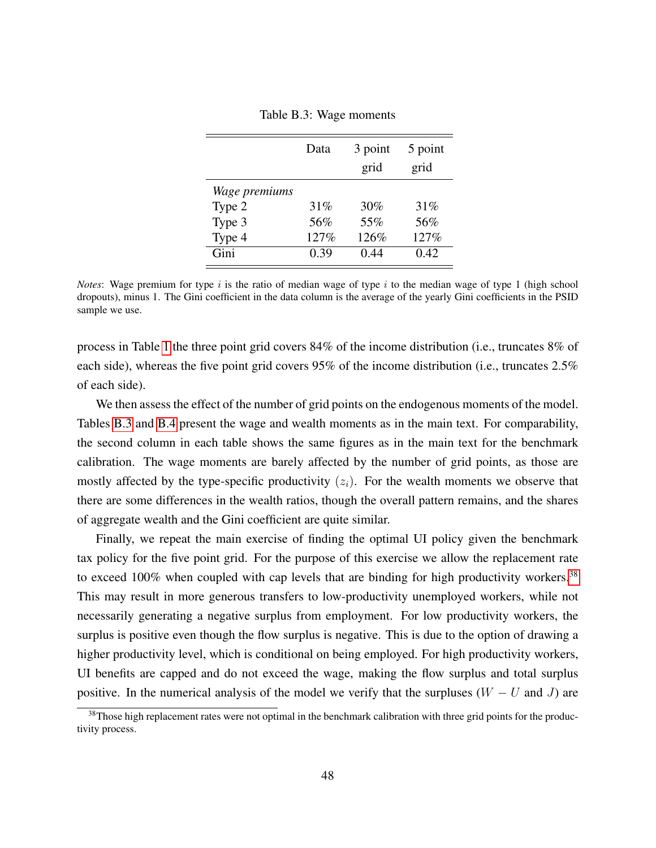<span id="page-48-0"></span>

|               | Data | 3 point<br>grid | 5 point<br>grid |
|---------------|------|-----------------|-----------------|
| Wage premiums |      |                 |                 |
| Type 2        | 31%  | 30%             | 31%             |
| Type 3        | 56%  | 55%             | 56%             |
| Type 4        | 127% | 126%            | 127%            |
| Gini          | 0.39 | 0.44            | 0.42            |

Table B.3: Wage moments

*Notes*: Wage premium for type i is the ratio of median wage of type i to the median wage of type 1 (high school dropouts), minus 1. The Gini coefficient in the data column is the average of the yearly Gini coefficients in the PSID sample we use.

process in Table [1](#page-16-0) the three point grid covers 84% of the income distribution (i.e., truncates 8% of each side), whereas the five point grid covers 95% of the income distribution (i.e., truncates 2.5% of each side).

We then assess the effect of the number of grid points on the endogenous moments of the model. Tables [B.3](#page-48-0) and [B.4](#page-49-0) present the wage and wealth moments as in the main text. For comparability, the second column in each table shows the same figures as in the main text for the benchmark calibration. The wage moments are barely affected by the number of grid points, as those are mostly affected by the type-specific productivity  $(z<sub>i</sub>)$ . For the wealth moments we observe that there are some differences in the wealth ratios, though the overall pattern remains, and the shares of aggregate wealth and the Gini coefficient are quite similar.

Finally, we repeat the main exercise of finding the optimal UI policy given the benchmark tax policy for the five point grid. For the purpose of this exercise we allow the replacement rate to exceed 100% when coupled with cap levels that are binding for high productivity workers.<sup>[38](#page-1-0)</sup> This may result in more generous transfers to low-productivity unemployed workers, while not necessarily generating a negative surplus from employment. For low productivity workers, the surplus is positive even though the flow surplus is negative. This is due to the option of drawing a higher productivity level, which is conditional on being employed. For high productivity workers, UI benefits are capped and do not exceed the wage, making the flow surplus and total surplus positive. In the numerical analysis of the model we verify that the surpluses  $(W - U$  and J) are

 $38$ Those high replacement rates were not optimal in the benchmark calibration with three grid points for the productivity process.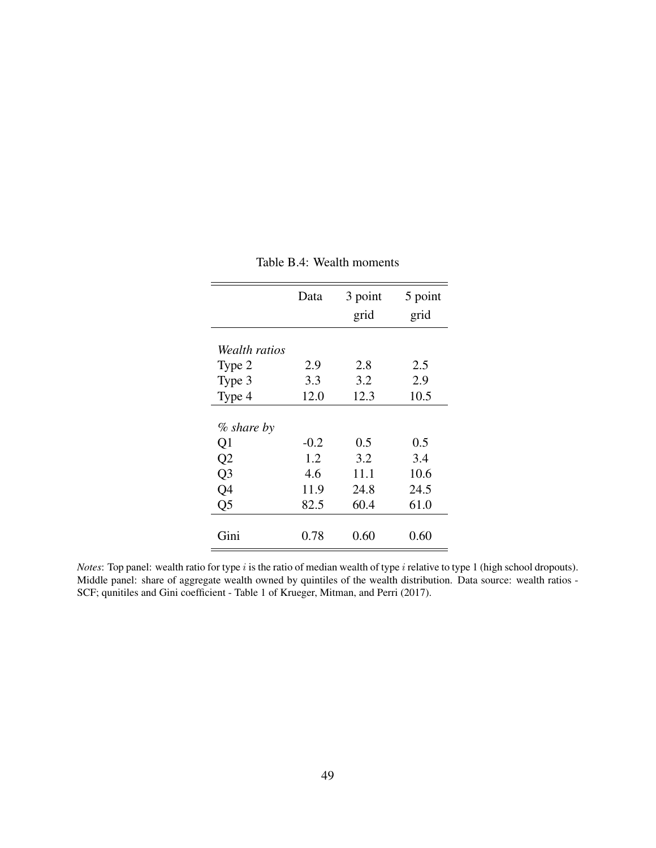<span id="page-49-0"></span>

|                | Data   | 3 point<br>grid | 5 point<br>grid |
|----------------|--------|-----------------|-----------------|
|                |        |                 |                 |
| Wealth ratios  |        |                 |                 |
| Type 2         | 2.9    | 2.8             | 2.5             |
| Type 3         | 3.3    | 3.2             | 2.9             |
| Type 4         | 12.0   | 12.3            | 10.5            |
|                |        |                 |                 |
| $%$ share by   |        |                 |                 |
| Q1             | $-0.2$ | 0.5             | 0.5             |
| Q2             | 1.2    | 3.2             | 3.4             |
| Q <sub>3</sub> | 4.6    | 11.1            | 10.6            |
| Q4             | 11.9   | 24.8            | 24.5            |
| Q <sub>5</sub> | 82.5   | 60.4            | 61.0            |
|                |        |                 |                 |
| Gini           | 0.78   | 0.60            | 0.60            |

Table B.4: Wealth moments

*Notes*: Top panel: wealth ratio for type i is the ratio of median wealth of type i relative to type 1 (high school dropouts). Middle panel: share of aggregate wealth owned by quintiles of the wealth distribution. Data source: wealth ratios - SCF; qunitiles and Gini coefficient - Table 1 of Krueger, Mitman, and Perri (2017).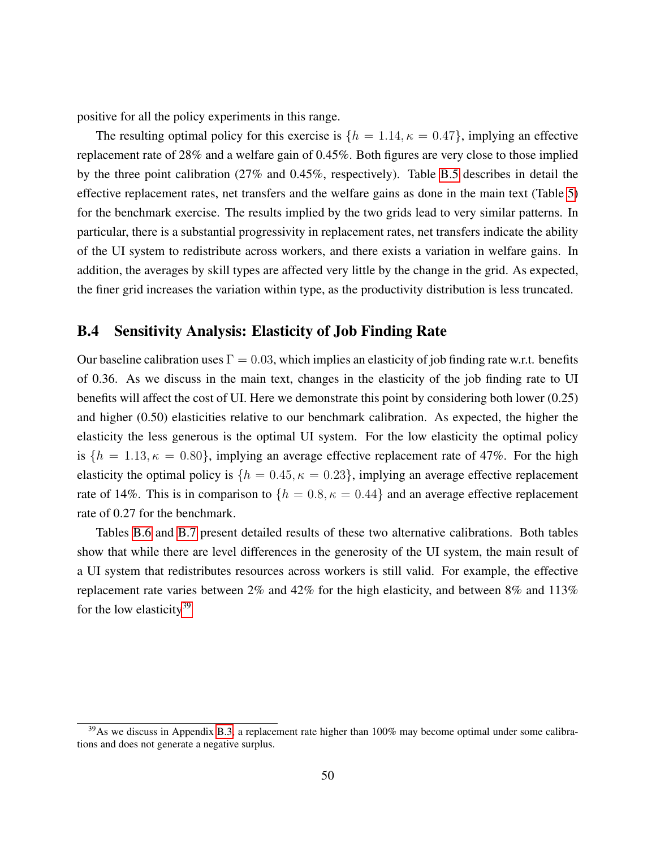positive for all the policy experiments in this range.

The resulting optimal policy for this exercise is  $\{h = 1.14, \kappa = 0.47\}$ , implying an effective replacement rate of 28% and a welfare gain of 0.45%. Both figures are very close to those implied by the three point calibration (27% and 0.45%, respectively). Table [B.5](#page-51-0) describes in detail the effective replacement rates, net transfers and the welfare gains as done in the main text (Table [5\)](#page-25-0) for the benchmark exercise. The results implied by the two grids lead to very similar patterns. In particular, there is a substantial progressivity in replacement rates, net transfers indicate the ability of the UI system to redistribute across workers, and there exists a variation in welfare gains. In addition, the averages by skill types are affected very little by the change in the grid. As expected, the finer grid increases the variation within type, as the productivity distribution is less truncated.

### <span id="page-50-0"></span>B.4 Sensitivity Analysis: Elasticity of Job Finding Rate

Our baseline calibration uses  $\Gamma = 0.03$ , which implies an elasticity of job finding rate w.r.t. benefits of 0.36. As we discuss in the main text, changes in the elasticity of the job finding rate to UI benefits will affect the cost of UI. Here we demonstrate this point by considering both lower (0.25) and higher (0.50) elasticities relative to our benchmark calibration. As expected, the higher the elasticity the less generous is the optimal UI system. For the low elasticity the optimal policy is  $\{h = 1.13, \kappa = 0.80\}$ , implying an average effective replacement rate of 47%. For the high elasticity the optimal policy is  $\{h = 0.45, \kappa = 0.23\}$ , implying an average effective replacement rate of 14%. This is in comparison to  $\{h = 0.8, \kappa = 0.44\}$  and an average effective replacement rate of 0.27 for the benchmark.

Tables [B.6](#page-52-0) and [B.7](#page-53-0) present detailed results of these two alternative calibrations. Both tables show that while there are level differences in the generosity of the UI system, the main result of a UI system that redistributes resources across workers is still valid. For example, the effective replacement rate varies between 2% and 42% for the high elasticity, and between 8% and 113% for the low elasticity<sup>[39](#page-1-0)</sup>

 $39$ As we discuss in Appendix [B.3,](#page-46-2) a replacement rate higher than  $100\%$  may become optimal under some calibrations and does not generate a negative surplus.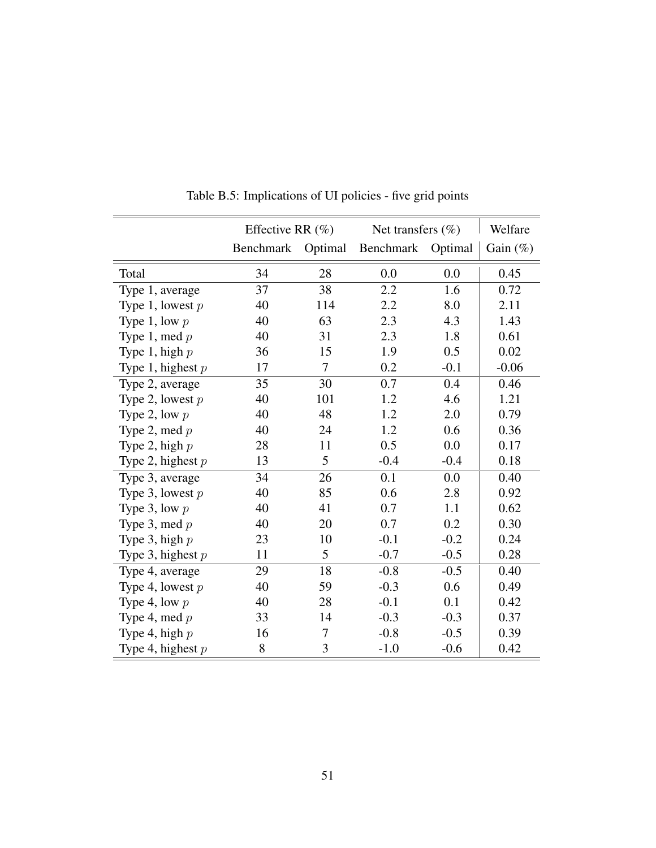<span id="page-51-0"></span>

|                     | Effective RR $(\%)$ |         | Net transfers $(\% )$ |         | Welfare     |
|---------------------|---------------------|---------|-----------------------|---------|-------------|
|                     | Benchmark           | Optimal | Benchmark             | Optimal | Gain $(\%)$ |
| Total               | 34                  | 28      | 0.0                   | 0.0     | 0.45        |
| Type 1, average     | 37                  | 38      | 2.2                   | 1.6     | 0.72        |
| Type 1, lowest $p$  | 40                  | 114     | 2.2                   | 8.0     | 2.11        |
| Type 1, low $p$     | 40                  | 63      | 2.3                   | 4.3     | 1.43        |
| Type 1, med $p$     | 40                  | 31      | 2.3                   | 1.8     | 0.61        |
| Type 1, high $p$    | 36                  | 15      | 1.9                   | 0.5     | 0.02        |
| Type 1, highest $p$ | 17                  | 7       | 0.2                   | $-0.1$  | $-0.06$     |
| Type 2, average     | 35                  | 30      | 0.7                   | 0.4     | 0.46        |
| Type 2, lowest $p$  | 40                  | 101     | 1.2                   | 4.6     | 1.21        |
| Type 2, low $p$     | 40                  | 48      | 1.2                   | 2.0     | 0.79        |
| Type 2, med $p$     | 40                  | 24      | 1.2                   | 0.6     | 0.36        |
| Type 2, high $p$    | 28                  | 11      | 0.5                   | 0.0     | 0.17        |
| Type 2, highest $p$ | 13                  | 5       | $-0.4$                | $-0.4$  | 0.18        |
| Type 3, average     | 34                  | 26      | 0.1                   | 0.0     | 0.40        |
| Type 3, lowest $p$  | 40                  | 85      | 0.6                   | 2.8     | 0.92        |
| Type 3, low $p$     | 40                  | 41      | 0.7                   | 1.1     | 0.62        |
| Type 3, med $p$     | 40                  | 20      | 0.7                   | 0.2     | 0.30        |
| Type 3, high $p$    | 23                  | 10      | $-0.1$                | $-0.2$  | 0.24        |
| Type 3, highest $p$ | 11                  | 5       | $-0.7$                | $-0.5$  | 0.28        |
| Type 4, average     | 29                  | 18      | $-0.8$                | $-0.5$  | 0.40        |
| Type 4, lowest $p$  | 40                  | 59      | $-0.3$                | 0.6     | 0.49        |
| Type 4, low $p$     | 40                  | 28      | $-0.1$                | 0.1     | 0.42        |
| Type 4, med $p$     | 33                  | 14      | $-0.3$                | $-0.3$  | 0.37        |
| Type 4, high $p$    | 16                  | 7       | $-0.8$                | $-0.5$  | 0.39        |
| Type 4, highest $p$ | 8                   | 3       | $-1.0$                | $-0.6$  | 0.42        |

Table B.5: Implications of UI policies - five grid points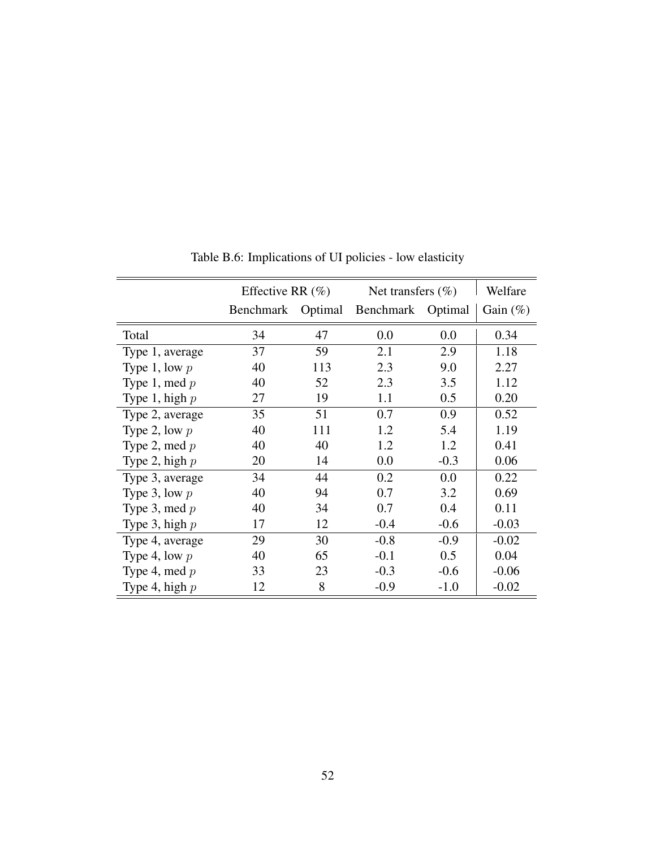<span id="page-52-0"></span>

|                  | Effective RR $(\%)$ |         | Net transfers $(\% )$ |        | Welfare     |
|------------------|---------------------|---------|-----------------------|--------|-------------|
|                  | Benchmark           | Optimal | Benchmark Optimal     |        | Gain $(\%)$ |
| Total            | 34                  | 47      | 0.0                   | 0.0    | 0.34        |
| Type 1, average  | 37                  | 59      | 2.1                   | 2.9    | 1.18        |
| Type 1, low $p$  | 40                  | 113     | 2.3                   | 9.0    | 2.27        |
| Type 1, med $p$  | 40                  | 52      | 2.3                   | 3.5    | 1.12        |
| Type 1, high $p$ | 27                  | 19      | 1.1                   | 0.5    | 0.20        |
| Type 2, average  | 35                  | 51      | 0.7                   | 0.9    | 0.52        |
| Type 2, low $p$  | 40                  | 111     | 1.2                   | 5.4    | 1.19        |
| Type 2, med $p$  | 40                  | 40      | 1.2                   | 1.2    | 0.41        |
| Type 2, high $p$ | 20                  | 14      | 0.0                   | $-0.3$ | 0.06        |
| Type 3, average  | 34                  | 44      | 0.2                   | 0.0    | 0.22        |
| Type 3, low $p$  | 40                  | 94      | 0.7                   | 3.2    | 0.69        |
| Type 3, med $p$  | 40                  | 34      | 0.7                   | 0.4    | 0.11        |
| Type 3, high $p$ | 17                  | 12      | $-0.4$                | $-0.6$ | $-0.03$     |
| Type 4, average  | 29                  | 30      | $-0.8$                | $-0.9$ | $-0.02$     |
| Type 4, low $p$  | 40                  | 65      | $-0.1$                | 0.5    | 0.04        |
| Type 4, med $p$  | 33                  | 23      | $-0.3$                | $-0.6$ | $-0.06$     |
| Type 4, high $p$ | 12                  | 8       | $-0.9$                | $-1.0$ | $-0.02$     |

Table B.6: Implications of UI policies - low elasticity